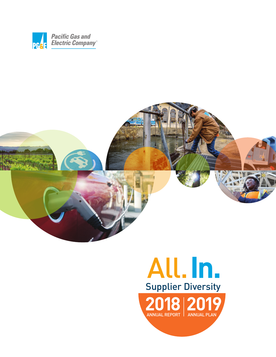



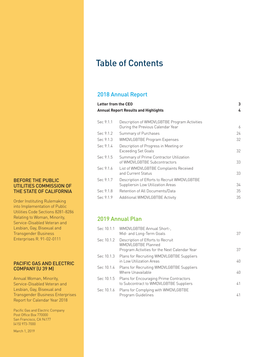## Table of Contents

## 2018 Annual Report

|                                             | Letter from the CEO                                                               | 3  |
|---------------------------------------------|-----------------------------------------------------------------------------------|----|
| <b>Annual Report Results and Highlights</b> | 4                                                                                 |    |
| Sec 9.1.1                                   | Description of WMDVLGBTBE Program Activities<br>During the Previous Calendar Year | 6  |
| Sec 9.1.2                                   | Summary of Purchases                                                              | 24 |
| Sec 9.1.3                                   | <b>WMDVLGBTBE Program Expenses</b>                                                | 32 |
| Sec 9.1.4                                   | Description of Progress in Meeting or<br><b>Exceeding Set Goals</b>               | 32 |
| Sec 9.1.5                                   | Summary of Prime Contractor Utilization<br>of WMDVLGBTBE Subcontractors           | 33 |
| Sec 9.1.6                                   | List of WMDVLGBTBE Complaints Received<br>and Current Status                      | 33 |
| Sec 9.1.7                                   | Description of Efforts to Recruit WMDVLGBTBE<br>Suppliersin Low Utilization Areas | 34 |
| Sec 9.1.8                                   | Retention of All Documents/Data                                                   | 35 |
| Sec 9.1.9                                   | Additional WMDVLGBTBE Activity                                                    | 35 |

## 2019 Annual Plan

|            | Sec 10.1.1 WMDVLGBTBE Annual Short-,<br>Mid- and Long-Term Goals                                                | 37 |
|------------|-----------------------------------------------------------------------------------------------------------------|----|
| Sec 10.1.2 | Description of Efforts to Recruit<br><b>WMDVLGBTBE Planned</b><br>Program Activities for the Next Calendar Year | 37 |
|            | Sec 10.1.3 Plans for Recruiting WMDVLGBTBE Suppliers<br>in Low Utilization Areas                                | 40 |
| Sec 10.1.4 | Plans for Recruiting WMDVLGBTBE Suppliers<br>Where Unavailable                                                  | 40 |
| Sec 10.1.5 | Plans for Encouraging Prime Contractors<br>to Subcontract to WMDVLGBTBE Suppliers                               | 41 |
| Sec 10.1.6 | Plans for Complying with WMDVLGBTBE<br>Program Guidelines                                                       | 41 |

### BEFORE THE PUBLIC UTILITIES COMMISSION OF THE STATE OF CALIFORNIA

Order Instituting Rulemaking into Implementation of Public Utilities Code Sections 8281-8286 Relating to Woman, Minority, Service-Disabled Veteran and Lesbian, Gay, Bisexual and Transgender Business Enterprises R. 91-02-0111

### PACIFIC GAS AND ELECTRIC COMPANY (U 39 M)

Annual Woman, Minority, Service-Disabled Veteran and Lesbian, Gay, Bisexual and Transgender Business Enterprises Report for Calendar Year 2018

Pacific Gas and Electric Company Post Office Box 770000 San Francisco, CA 94177 (415) 973-7000

March 1, 2019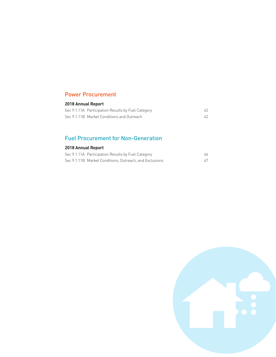## Power Procurement

## **2018 Annual Report**

| Sec 9.1.11A Participation Results by Fuel Category |  |
|----------------------------------------------------|--|
| Sec 9.1.11B Market Conditions and Outreach         |  |

## Fuel Procurement for Non-Generation

## **2018 Annual Report**

| Sec 9.1.11A Participation Results by Fuel Category      | 46 |
|---------------------------------------------------------|----|
| Sec 9.1.11B Market Conditions, Outreach, and Exclusions |    |

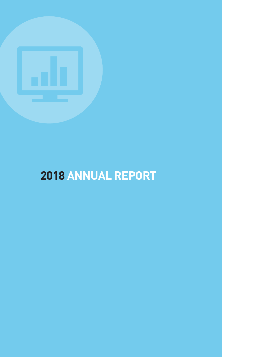

# **2018 ANNUAL REPORT**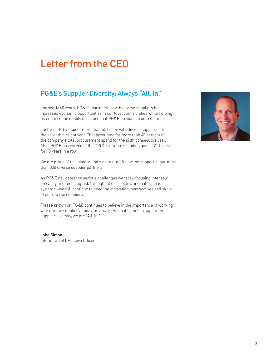## Letter from the CEO

## PG&E's Supplier Diversity: Always "All. In."

For nearly 40 years, PG&E's partnership with diverse suppliers has increased economic opportunities in our local communities while helping us enhance the quality of service that PG&E provides to our customers.

Last year, PG&E spent more than \$2 billion with diverse suppliers for the seventh straight year. That accounted for more than 40 percent of the company's total procurement spend for the sixth consecutive year. Also, PG&E has exceeded the CPUC's diverse spending goal of 21.5 percent for 13 years in a row.

We are proud of this history, and we are grateful for the support of our more than 800 diverse supplier partners.

As PG&E navigates the serious challenges we face—focusing intensely on safety and reducing risk throughout our electric and natural gas systems—we will continue to need the innovation, perspectives and skills of our diverse suppliers.

Please know that PG&E continues to believe in the importance of working with diverse suppliers. Today, as always, when it comes to supporting supplier diversity, we are "All. In."

John Simon Interim Chief Executive Officer

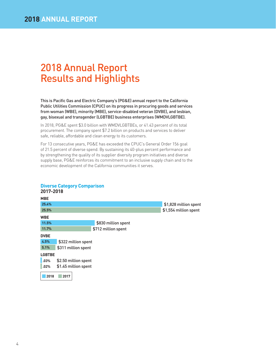## 2018 Annual Report Results and Highlights

This is Pacific Gas and Electric Company's (PG&E) annual report to the California Public Utilities Commission (CPUC) on its progress in procuring goods and services from woman (WBE), minority (MBE), service-disabled veteran (DVBE), and lesbian, gay, bisexual and transgender (LGBTBE) business enterprises (WMDVLGBTBE).

In 2018, PG&E spent \$3.0 billion with WMDVLGBTBEs, or 41.43 percent of its total procurement. The company spent \$7.2 billion on products and services to deliver safe, reliable, affordable and clean energy to its customers.

For 13 consecutive years, PG&E has exceeded the CPUC's General Order 156 goal of 21.5 percent of diverse spend. By sustaining its 40-plus percent performance and by strengthening the quality of its supplier diversity program initiatives and diverse supply base, PG&E reinforces its commitment to an inclusive supply chain and to the economic development of the California communities it serves.

| 2017-2018     |                      |                     |                       |
|---------------|----------------------|---------------------|-----------------------|
| <b>MBE</b>    |                      |                     |                       |
| 25.4%         |                      |                     | \$1,828 million spent |
| 25.5%         |                      |                     | \$1,554 million spent |
| <b>WBE</b>    |                      |                     |                       |
| 11.5%         |                      | \$830 million spent |                       |
| 11.7%         |                      | \$712 million spent |                       |
| <b>DVBE</b>   |                      |                     |                       |
| 4.5%          | \$322 million spent  |                     |                       |
| 5.1%          | \$311 million spent  |                     |                       |
| <b>LGBTBE</b> |                      |                     |                       |
| .03%          | \$2.50 million spent |                     |                       |
| .02%          | \$1.45 million spent |                     |                       |
| 2018          | 2017                 |                     |                       |

### **Diverse Category Comparison**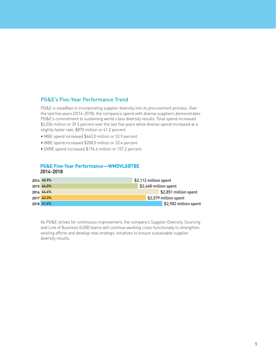## PG&E's Five-Year Performance Trend

PG&E is steadfast in incorporating supplier diversity into its procurement process. Over the last five years (2014-2018), the company's spend with diverse suppliers demonstrates PG&E's commitment to sustaining world-class diversity results. Total spend increased \$2,036 million or 39.5 percent over the last five years while diverse spend increased at a slightly faster rate, \$870 million or 41.2 percent.

- MBE spend increased \$463.0 million or 33.9 percent.
- WBE spend increased \$208.0 million or 33.4 percent.
- DVBE spend increased \$196.6 million or 157.2 percent.

### **PG&E Five-Year Performance—WMDVLGBTBE 2014-2018**

| 2014 40.9% | \$2,112 million spent |
|------------|-----------------------|
| 2015 44.0% | \$2,468 million spent |
| 2016 44.4% | \$2,851 million spent |
| 2017 42.3% | \$2,579 million spent |
| 2018 41.4% | \$2,982 million spent |

As PG&E strives for continuous improvement, the company's Supplier Diversity, Sourcing and Line of Business (LOB) teams will continue working cross-functionally to strengthen existing efforts and develop new strategic initiatives to ensure sustainable supplier diversity results.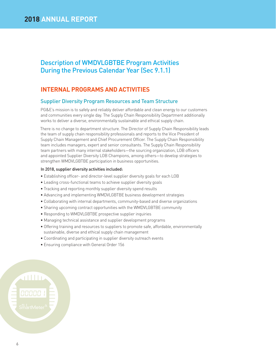## Description of WMDVLGBTBE Program Activities During the Previous Calendar Year (Sec 9.1.1)

## **INTERNAL PROGRAMS AND ACTIVITIES**

## Supplier Diversity Program Resources and Team Structure

PG&E's mission is to safely and reliably deliver affordable and clean energy to our customers and communities every single day. The Supply Chain Responsibility Department additionally works to deliver a diverse, environmentally sustainable and ethical supply chain.

There is no change to department structure. The Director of Supply Chain Responsibility leads the team of supply chain responsibility professionals and reports to the Vice President of Supply Chain Management and Chief Procurement Officer. The Supply Chain Responsibility team includes managers, expert and senior consultants. The Supply Chain Responsibility team partners with many internal stakeholders—the sourcing organization, LOB officers and appointed Supplier Diversity LOB Champions, among others—to develop strategies to strengthen WMDVLGBTBE participation in business opportunities.

### In 2018, supplier diversity activities included:

- Establishing officer- and director-level supplier diversity goals for each LOB
- Leading cross-functional teams to achieve supplier diversity goals
- Tracking and reporting monthly supplier diversity spend results
- Advancing and implementing WMDVLGBTBE business development strategies
- Collaborating with internal departments, community-based and diverse organizations
- Sharing upcoming contract opportunities with the WMDVLGBTBE community
- Responding to WMDVLGBTBE prospective supplier inquiries
- Managing technical assistance and supplier development programs
- Offering training and resources to suppliers to promote safe, affordable, environmentally sustainable, diverse and ethical supply chain management
- Coordinating and participating in supplier diversity outreach events
- Ensuring compliance with General Order 156

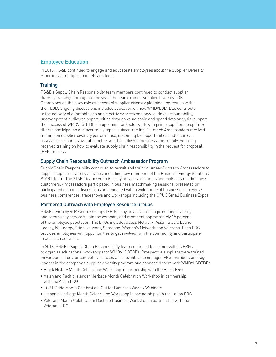## Employee Education

In 2018, PG&E continued to engage and educate its employees about the Supplier Diversity Program via multiple channels and tools.

### **Training**

PG&E's Supply Chain Responsibility team members continued to conduct supplier diversity trainings throughout the year. The team trained Supplier Diversity LOB Champions on their key role as drivers of supplier diversity planning and results within their LOB. Ongoing discussions included education on how WMDVLGBTBEs contribute to the delivery of affordable gas and electric services and how to: drive accountability; uncover potential diverse opportunities through value chain and spend data analysis; support the success of WMDVLGBTBEs in upcoming projects; work with prime suppliers to optimize diverse participation and accurately report subcontracting. Outreach Ambassadors received training on supplier diversity performance, upcoming bid opportunities and technical assistance resources available to the small and diverse business community. Sourcing received training on how to evaluate supply chain responsibility in the request for proposal (RFP) process.

### Supply Chain Responsibility Outreach Ambassador Program

Supply Chain Responsibility continued to recruit and train volunteer Outreach Ambassadors to support supplier diversity activities, including new members of the Business Energy Solutions START Team. The START team synergistically provides resources and tools to small business customers. Ambassadors participated in business matchmaking sessions, presented or participated on panel discussions and engaged with a wide range of businesses at diverse business conferences, tradeshows and workshops including the CPUC Small Business Expos.

### Partnered Outreach with Employee Resource Groups

PG&E's Employee Resource Groups (ERGs) play an active role in promoting diversity and community service within the company and represent approximately 15 percent of the employee population. The ERGs include Access Network, Asian, Black, Latino, Legacy, NuEnergy, Pride Network, Samahan, Women's Network and Veterans. Each ERG provides employees with opportunities to get involved with the community and participate in outreach activities.

In 2018, PG&E's Supply Chain Responsibility team continued to partner with its ERGs to organize educational workshops for WMDVLGBTBEs. Prospective suppliers were trained on various factors for competitive success. The events also engaged ERG members and key leaders in the company's supplier diversity program and connected them with WMDVLGBTBEs.

- Black History Month Celebration Workshop in partnership with the Black ERG
- Asian and Pacific Islander Heritage Month Celebration Workshop in partnership with the Asian ERG
- LGBT Pride Month Celebration: Out for Business Weekly Webinars
- Hispanic Heritage Month Celebration Workshop in partnership with the Latino ERG
- Veterans Month Celebration: Boots to Business Workshop in partnership with the Veterans ERG.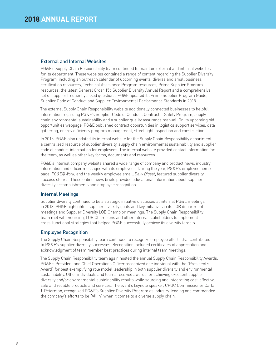### External and Internal Websites

PG&E's Supply Chain Responsibility team continued to maintain external and internal websites for its department. These websites contained a range of content regarding the Supplier Diversity Program, including an outreach calendar of upcoming events, diverse and small business certification resources, Technical Assistance Program resources, Prime Supplier Program resources, the latest General Order 156 Supplier Diversity Annual Report and a comprehensive set of supplier frequently asked questions. PG&E updated its Prime Supplier Program Guide, Supplier Code of Conduct and Supplier Environmental Performance Standards in 2018.

The external Supply Chain Responsibility website additionally connected businesses to helpful information regarding PG&E's Supplier Code of Conduct, Contractor Safety Program, supply chain environmental sustainability and a supplier quality assurance manual. On its upcoming bid opportunities webpage, PG&E published contract opportunities in logistics support services, data gathering, energy efficiency program management, street light inspection and construction.

In 2018, PG&E also updated its internal website for the Supply Chain Responsibility department, a centralized resource of supplier diversity, supply chain environmental sustainability and supplier code of conduct information for employees. The internal website provided contact information for the team, as well as other key forms, documents and resources.

PG&E's internal company website shared a wide range of company and product news, industry information and officer messages with its employees. During the year, PG&E's employee home page, *PG&E*@*Work*, and the weekly employee email, *Daily Digest*, featured supplier diversity success stories. These online news briefs provided educational information about supplier diversity accomplishments and employee recognition.

### Internal Meetings

Supplier diversity continued to be a strategic initiative discussed at internal PG&E meetings in 2018. PG&E highlighted supplier diversity goals and key initiatives in its LOB department meetings and Supplier Diversity LOB Champion meetings. The Supply Chain Responsibility team met with Sourcing, LOB Champions and other internal stakeholders to implement cross-functional strategies that helped PG&E successfully achieve its diversity targets.

### Employee Recognition

The Supply Chain Responsibility team continued to recognize employee efforts that contributed to PG&E's supplier diversity successes. Recognition included certificates of appreciation and acknowledgment of team member best practices during internal team meetings.

The Supply Chain Responsibility team again hosted the annual Supply Chain Responsibility Awards. PG&E's President and Chief Operations Officer recognized one individual with the "President's Award" for best exemplifying role model leadership in both supplier diversity and environmental sustainability. Other individuals and teams received awards for achieving excellent supplier diversity and/or environmental sustainability results while sourcing and integrating cost-effective, safe and reliable products and services. The event's keynote speaker, CPUC Commissioner Carla J. Peterman, recognized PG&E's Supplier Diversity Program as industry-leading and commended the company's efforts to be "All In" when it comes to a diverse supply chain.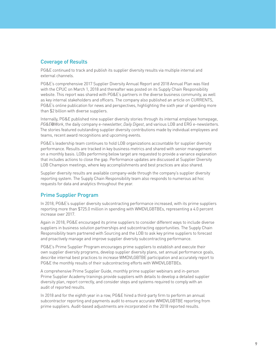## Coverage of Results

PG&E continued to track and publish its supplier diversity results via multiple internal and external channels.

PG&E's comprehensive 2017 Supplier Diversity Annual Report and 2018 Annual Plan was filed with the CPUC on March 1, 2018 and thereafter was posted on its Supply Chain Responsibility website. This report was shared with PG&E's partners in the diverse business community, as well as key internal stakeholders and officers. The company also published an article on CURRENTS, PG&E's online publication for news and perspectives, highlighting the sixth year of spending more than \$2 billion with diverse suppliers.

Internally, PG&E published nine supplier diversity stories through its internal employee homepage, *PG&E*@*Work*, the daily company e-newsletter, *Daily Digest*, and various LOB and ERG e-newsletters. The stories featured outstanding supplier diversity contributions made by individual employees and teams, recent award recognitions and upcoming events.

PG&E's leadership team continues to hold LOB organizations accountable for supplier diversity performance. Results are tracked in key business metrics and shared with senior management on a monthly basis. LOBs performing below target are requested to provide a variance explanation that includes actions to close the gap. Performance updates are discussed at Supplier Diversity LOB Champion meetings, where key accomplishments and best practices are also shared.

Supplier diversity results are available company-wide through the company's supplier diversity reporting system. The Supply Chain Responsibility team also responds to numerous ad hoc requests for data and analytics throughout the year.

### Prime Supplier Program

In 2018, PG&E's supplier diversity subcontracting performance increased, with its prime suppliers reporting more than \$725.0 million in spending with WMDVLGBTBEs, representing a 4.0 percent increase over 2017.

Again in 2018, PG&E encouraged its prime suppliers to consider different ways to include diverse suppliers in business solution partnerships and subcontracting opportunities. The Supply Chain Responsibility team partnered with Sourcing and the LOB to ask key prime suppliers to forecast and proactively manage and improve supplier diversity subcontracting performance.

PG&E's Prime Supplier Program encourages prime suppliers to establish and execute their own supplier diversity programs, develop supplier diversity plans, set annual performance goals, describe internal best practices to increase WMDVLGBTBE participation and accurately report to PG&E the monthly results of their subcontracting efforts with WMDVLGBTBEs.

A comprehensive Prime Supplier Guide, monthly prime supplier webinars and in-person Prime Supplier Academy trainings provide suppliers with details to develop a detailed supplier diversity plan, report correctly, and consider steps and systems required to comply with an audit of reported results.

In 2018 and for the eighth year in a row, PG&E hired a third-party firm to perform an annual subcontractor reporting and payments audit to ensure accurate WMDVLGBTBE reporting from prime suppliers. Audit-based adjustments are incorporated in the 2018 reported results.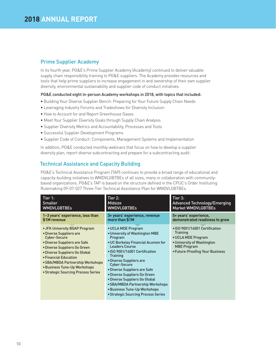## Prime Supplier Academy

In its fourth year, PG&E's Prime Supplier Academy (Academy) continued to deliver valuable supply chain responsibility training to PG&E suppliers. The Academy provides resources and tools that help prime suppliers to increase engagement in and ownership of their own supplier diversity, environmental sustainability and supplier code of conduct initiatives.

### PG&E conducted eight in-person Academy workshops in 2018, with topics that included:

- Building Your Diverse Supplier Bench: Preparing for Your Future Supply Chain Needs
- Leveraging Industry Forums and Tradeshows for Diversity Inclusion
- How to Account for and Report Greenhouse Gases
- Meet Your Supplier Diversity Goals through Supply Chain Analysis
- Supplier Diversity Metrics and Accountability, Processes and Tools
- Successful Supplier Development Programs
- Supplier Code of Conduct: Components, Management Systems and Implementation

In addition, PG&E conducted monthly webinars that focus on how to develop a supplier diversity plan, report diverse subcontracting and prepare for a subcontracting audit.

## Technical Assistance and Capacity Building

PG&E's Technical Assistance Program (TAP) continues to provide a broad range of educational and capacity-building initiatives to WMDVLGBTBEs of all sizes, many in collaboration with communitybased organizations. PG&E's TAP is based on the structure defined in the CPUC's Order Instituting Rulemaking 09-07-027 Three-Tier Technical Assistance Plan for WMDVLGBTBEs.

| Tier 1:                                                                                                                                                                                                                                                                                                              | Tier 2:                                                                                                                                                                                                                                                                                                                                                                                                                                           | Tier 3:                                                                                                                                                        |
|----------------------------------------------------------------------------------------------------------------------------------------------------------------------------------------------------------------------------------------------------------------------------------------------------------------------|---------------------------------------------------------------------------------------------------------------------------------------------------------------------------------------------------------------------------------------------------------------------------------------------------------------------------------------------------------------------------------------------------------------------------------------------------|----------------------------------------------------------------------------------------------------------------------------------------------------------------|
| <b>Smaller</b>                                                                                                                                                                                                                                                                                                       | <b>Midsize</b>                                                                                                                                                                                                                                                                                                                                                                                                                                    | <b>Advanced Technology/Emerging</b>                                                                                                                            |
| WMDVLGBTBEs                                                                                                                                                                                                                                                                                                          | <b>WMDVLGBTBEs</b>                                                                                                                                                                                                                                                                                                                                                                                                                                | <b>Market WMDVLGBTBEs</b>                                                                                                                                      |
| 1-3 years' experience, less than                                                                                                                                                                                                                                                                                     | 3+ years' experience, revenue                                                                                                                                                                                                                                                                                                                                                                                                                     | 5+ years' experience.                                                                                                                                          |
| \$1M revenue                                                                                                                                                                                                                                                                                                         | more than \$1M                                                                                                                                                                                                                                                                                                                                                                                                                                    | demonstrated readiness to grow                                                                                                                                 |
| • JFK University BGAP Program<br>• Diverse Suppliers are<br><b>Cyber-Secure</b><br>• Diverse Suppliers are Safe<br>• Diverse Suppliers Go Green<br>• Diverse Suppliers Go Global<br>• Financial Education<br>• SBA/MBDA Partnership Workshops<br>• Business Tune-Up Workshops<br>• Strategic Sourcing Process Series | • UCLA MDE Program<br>• University of Washington MBE<br>Program<br>• UC Berkeley Financial Acumen for<br><b>Leaders Course</b><br>• ISO 9001/14001 Certification<br><b>Training</b><br>• Diverse Suppliers are<br><b>Cyber-Secure</b><br>• Diverse Suppliers are Safe<br>• Diverse Suppliers Go Green<br>• Diverse Suppliers Go Global<br>• SBA/MBDA Partnership Workshops<br>• Business Tune-Up Workshops<br>• Strategic Sourcing Process Series | • ISO 9001/14001 Certification<br><b>Training</b><br>• UCLA MDE Program<br>• University of Washington<br><b>MBE Program</b><br>• Future-Proofing Your Business |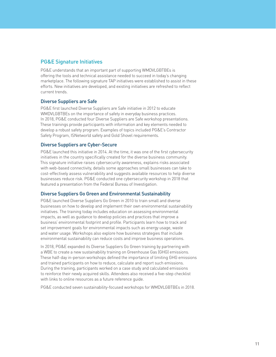## PG&E Signature Initiatives

PG&E understands that an important part of supporting WMDVLGBTBEs is offering the tools and technical assistance needed to succeed in today's changing marketplace. The following signature TAP initiatives were established to assist in these efforts. New initiatives are developed, and existing initiatives are refreshed to reflect current trends.

### Diverse Suppliers are Safe

PG&E first launched Diverse Suppliers are Safe initiative in 2012 to educate WMDVLGBTBEs on the importance of safety in everyday business practices. In 2018, PG&E conducted four Diverse Suppliers are Safe workshop presentations. These trainings provide participants with information and key elements needed to develop a robust safety program. Examples of topics included PG&E's Contractor Safety Program, ISNetworld safety and Gold Shovel requirements.

### Diverse Suppliers are Cyber-Secure

PG&E launched this initiative in 2014. At the time, it was one of the first cybersecurity initiatives in the country specifically created for the diverse business community. This signature initiative raises cybersecurity awareness, explains risks associated with web-based connectivity, details some approaches small businesses can take to cost-effectively assess vulnerability and suggests available resources to help diverse businesses reduce risk. PG&E conducted one cybersecurity workshop in 2018 that featured a presentation from the Federal Bureau of Investigation.

### Diverse Suppliers Go Green and Environmental Sustainability

PG&E launched Diverse Suppliers Go Green in 2010 to train small and diverse businesses on how to develop and implement their own environmental sustainability initiatives. The training today includes education on assessing environmental impacts, as well as guidance to develop policies and practices that improve a business' environmental footprint and profile. Participants learn how to track and set improvement goals for environmental impacts such as energy usage, waste and water usage. Workshops also explore how business strategies that include environmental sustainability can reduce costs and improve business operations.

In 2018, PG&E expanded its Diverse Suppliers Go Green training by partnering with a WBE to create a new sustainability training on Greenhouse Gas (GHG) emissions. These half-day in-person workshops defined the importance of limiting GHG emissions and trained participants on how to reduce, calculate and report such emissions. During the training, participants worked on a case study and calculated emissions to reinforce their newly acquired skills. Attendees also received a five-step checklist with links to online resources as a future reference guide.

PG&E conducted seven sustainability-focused workshops for WMDVLGBTBEs in 2018.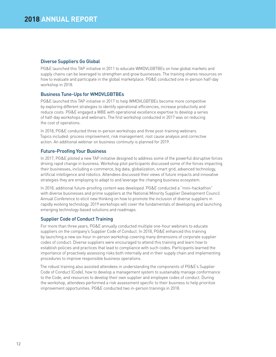### Diverse Suppliers Go Global

PG&E launched this TAP initiative in 2011 to educate WMDVLGBTBEs on how global markets and supply chains can be leveraged to strengthen and grow businesses. The training shares resources on how to evaluate and participate in the global marketplace. PG&E conducted one in-person half-day workshop in 2018.

### Business Tune-Ups for WMDVLGBTBEs

PG&E launched this TAP initiative in 2017 to help WMDVLGBTBEs become more competitive by exploring different strategies to identify operational efficiencies, increase productivity and reduce costs. PG&E engaged a WBE with operational excellence expertise to develop a series of half-day workshops and webinars. The first workshop conducted in 2017 was on reducing the cost of operations.

In 2018, PG&E conducted three in-person workshops and three post-training webinars. Topics included: process improvement, risk management, root cause analysis and corrective action. An additional webinar on business continuity is planned for 2019.

### Future-Proofing Your Business

In 2017, PG&E piloted a new TAP initiative designed to address some of the powerful disruptive forces driving rapid change in business. Workshop pilot participants discussed some of the forces impacting their businesses, including e-commerce, big data, globalization, smart grid, advanced technology, artificial intelligence and robotics. Attendees discussed their views of future impacts and innovative strategies they are employing to adapt to and leverage the changing business ecosystem.

In 2018, additional future-proofing content was developed. PG&E conducted a "mini-hackathon" with diverse businesses and prime suppliers at the National Minority Supplier Development Council Annual Conference to elicit new thinking on how to promote the inclusion of diverse suppliers in rapidly evolving technology. 2019 workshops will cover the fundamentals of developing and launching emerging technology-based solutions and roadmaps.

### Supplier Code of Conduct Training

For more than three years, PG&E annually conducted multiple one-hour webinars to educate suppliers on the company's Supplier Code of Conduct. In 2018, PG&E enhanced this training by launching a new six-hour in-person workshop covering many dimensions of corporate supplier codes of conduct. Diverse suppliers were encouraged to attend this training and learn how to establish policies and practices that lead to compliance with such codes. Participants learned the importance of proactively assessing risks both internally and in their supply chain and implementing procedures to improve responsible business operations.

The robust training also assisted attendees in understanding the components of PG&E's Supplier Code of Conduct (Code), how to develop a management system to sustainably manage conformance to the Code, and resources to develop their own supplier and employee codes of conduct. During the workshop, attendees performed a risk assessment specific to their business to help prioritize improvement opportunities. PG&E conducted two in-person trainings in 2018.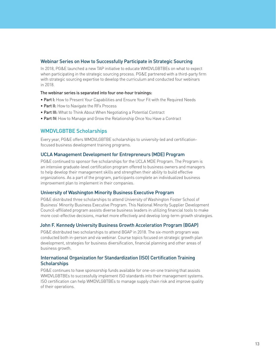### Webinar Series on How to Successfully Participate in Strategic Sourcing

In 2018, PG&E launched a new TAP initiative to educate WMDVLGBTBEs on what to expect when participating in the strategic sourcing process. PG&E partnered with a third-party firm with strategic sourcing expertise to develop the curriculum and conducted four webinars in 2018.

### The webinar series is separated into four one-hour trainings:

- Part I: How to Present Your Capabilities and Ensure Your Fit with the Required Needs
- Part II: How to Navigate the RFx Process
- Part III: What to Think About When Negotiating a Potential Contract
- Part IV: How to Manage and Grow the Relationship Once You Have a Contract

## WMDVLGBTBE Scholarships

Every year, PG&E offers WMDVLGBTBE scholarships to university-led and certificationfocused business development training programs.

### UCLA Management Development for Entrepreneurs (MDE) Program

PG&E continued to sponsor five scholarships for the UCLA MDE Program. The Program is an intensive graduate-level certification program offered to business owners and managers to help develop their management skills and strengthen their ability to build effective organizations. As a part of the program, participants complete an individualized business improvement plan to implement in their companies.

### University of Washington Minority Business Executive Program

PG&E distributed three scholarships to attend University of Washington Foster School of Business' Minority Business Executive Program. This National Minority Supplier Development Council-affiliated program assists diverse business leaders in utilizing financial tools to make more cost-effective decisions, market more effectively and develop long-term growth strategies.

### John F. Kennedy University Business Growth Acceleration Program (BGAP)

PG&E distributed two scholarships to attend BGAP in 2018. The six-month program was conducted both in-person and via webinar. Course topics focused on strategic growth plan development, strategies for business diversification, financial planning and other areas of business growth.

### International Organization for Standardization (ISO) Certification Training **Scholarships**

PG&E continues to have sponsorship funds available for one-on-one training that assists WMDVLGBTBEs to successfully implement ISO standards into their management systems. ISO certification can help WMDVLGBTBEs to manage supply chain risk and improve quality of their operations.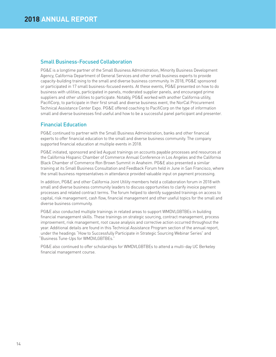## Small Business-Focused Collaboration

PG&E is a longtime partner of the Small Business Administration, Minority Business Development Agency, California Department of General Services and other small business experts to provide capacity-building training to the small and diverse business community. In 2018, PG&E sponsored or participated in 17 small business-focused events. At these events, PG&E presented on how to do business with utilities, participated in panels, moderated supplier panels, and encouraged prime suppliers and other utilities to participate. Notably, PG&E worked with another California utility, PacifiCorp, to participate in their first small and diverse business event, the NorCal Procurement Technical Assistance Center Expo. PG&E offered coaching to PacifiCorp on the type of information small and diverse businesses find useful and how to be a successful panel participant and presenter.

## Financial Education

PG&E continued to partner with the Small Business Administration, banks and other financial experts to offer financial education to the small and diverse business community. The company supported financial education at multiple events in 2018.

PG&E initiated, sponsored and led August trainings on accounts payable processes and resources at the California Hispanic Chamber of Commerce Annual Conference in Los Angeles and the California Black Chamber of Commerce Ron Brown Summit in Anaheim. PG&E also presented a similar training at its Small Business Consultation and Feedback Forum held in June in San Francisco, where the small business representatives in attendance provided valuable input on payment processing.

In addition, PG&E and other California Joint Utility members held a collaboration forum in 2018 with small and diverse business community leaders to discuss opportunities to clarify invoice payment processes and related contract terms. The forum helped to identify suggested trainings on access to capital, risk management, cash flow, financial management and other useful topics for the small and diverse business community.

PG&E also conducted multiple trainings in related areas to support WMDVLGBTBEs in building financial management skills. These trainings on strategic sourcing, contract management, process improvement, risk management, root cause analysis and corrective action occurred throughout the year. Additional details are found in this Technical Assistance Program section of the annual report, under the headings "How to Successfully Participate in Strategic Sourcing Webinar Series" and "Business Tune-Ups for WMDVLGBTBEs."

PG&E also continued to offer scholarships for WMDVLGBTBEs to attend a multi-day UC Berkeley financial management course.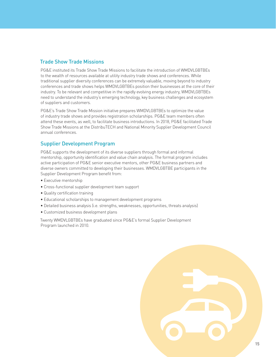## Trade Show Trade Missions

PG&E instituted its Trade Show Trade Missions to facilitate the introduction of WMDVLGBTBEs to the wealth of resources available at utility industry trade shows and conferences. While traditional supplier diversity conferences can be extremely valuable, moving beyond to industry conferences and trade shows helps WMDVLGBTBEs position their businesses at the core of their industry. To be relevant and competitive in the rapidly evolving energy industry, WMDVLGBTBEs need to understand the industry's emerging technology, key business challenges and ecosystem of suppliers and customers.

PG&E's Trade Show Trade Mission initiative prepares WMDVLGBTBEs to optimize the value of industry trade shows and provides registration scholarships. PG&E team members often attend these events, as well, to facilitate business introductions. In 2018, PG&E facilitated Trade Show Trade Missions at the DistribuTECH and National Minority Supplier Development Council annual conferences.

## Supplier Development Program

PG&E supports the development of its diverse suppliers through formal and informal mentorship, opportunity identification and value chain analysis. The formal program includes active participation of PG&E senior executive mentors, other PG&E business partners and diverse owners committed to developing their businesses. WMDVLGBTBE participants in the Supplier Development Program benefit from:

- Executive mentorship
- Cross-functional supplier development team support
- Quality certification training
- Educational scholarships to management development programs
- Detailed business analysis (i.e. strengths, weaknesses, opportunities, threats analysis)
- Customized business development plans

Twenty WMDVLGBTBEs have graduated since PG&E's formal Supplier Development Program launched in 2010.

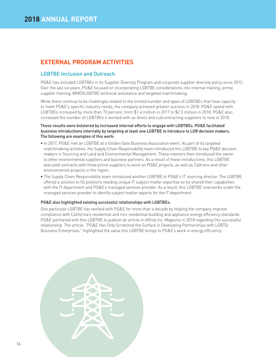## **EXTERNAL PROGRAM ACTIVITIES**

### LGBTBE Inclusion and Outreach

PG&E has included LGBTBEs in its Supplier Diversity Program and corporate supplier diversity policy since 2012. Over the last six years, PG&E focused on incorporating LGBTBE considerations into internal training, prime supplier training, WMDVLGBTBE technical assistance and targeted matchmaking.

While there continue to be challenges related to the limited number and types of LGBTBEs that have capacity to meet PG&E's specific industry needs, the company achieved greater success in 2018. PG&E spend with LGBTBEs increased by more than 70 percent, from \$1.4 million in 2017 to \$2.5 million in 2018. PG&E also increased the number of LGBTBEs it worked with as direct and subcontracting suppliers to nine in 2018.

### These results were bolstered by increased internal efforts to engage with LGBTBEs. PG&E facilitated business introductions internally by targeting at least one LGBTBE to introduce to LOB decision makers. The following are examples of this work:

- In 2017, PG&E met an LGBTBE at a Golden Gate Business Association event. As part of its targeted matchmaking activities, the Supply Chain Responsibility team introduced this LGBTBE to key PG&E decision makers in Sourcing and Land and Environmental Management. These mentors then introduced the owner to other environmental suppliers and business partners. As a result of these introductions, this LGBTBE executed contracts with three prime suppliers to work on PG&E projects, as well as Caltrans and other environmental projects in the region.
- The Supply Chain Responsibility team introduced another LGBTBE to PG&E's IT sourcing director. The LGBTBE offered a solution to fill positions needing unique IT subject matter expertise so he shared their capabilities with the IT department and PG&E's managed services provider. As a result, this LGBTBE now works under the managed services provider to identify subject matter experts for the IT department.

### PG&E also highlighted existing successful relationships with LGBTBEs:

One particular LGBTBE has worked with PG&E for more than a decade by helping the company improve compliance with California's residential and non-residential building and appliance energy efficiency standards. PG&E partnered with this LGBTBE to publish an article in *Affinity Inc. Magazine* in 2018 regarding this successful relationship. The article, "PG&E Has Only Scratched the Surface in Developing Partnerships with LGBTQ Business Enterprises," highlighted the value this LGBTBE brings to PG&E's work in energy efficiency.

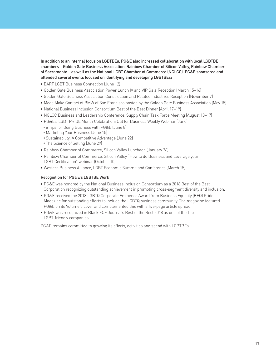In addition to an internal focus on LGBTBEs, PG&E also increased collaboration with local LGBTBE chambers—Golden Gate Business Association, Rainbow Chamber of Silicon Valley, Rainbow Chamber of Sacramento—as well as the National LGBT Chamber of Commerce (NGLCC). PG&E sponsored and attended several events focused on identifying and developing LGBTBEs:

- BART LGBT Business Connection (June 12)
- Golden Gate Business Association Power Lunch IV and VIP Gala Reception (March 15–16)
- Golden Gate Business Association Construction and Related Industries Reception (November 7)
- Mega Make Contact at BMW of San Francisco hosted by the Golden Gate Business Association (May 15)
- National Business Inclusion Consortium Best of the Best Dinner (April 17–19)
- NGLCC Business and Leadership Conference, Supply Chain Task Force Meeting (August 13–17)
- PG&E's LGBT PRIDE Month Celebration: Out for Business Weekly Webinar (June)
- •6 Tips for Doing Business with PG&E (June 8)
- •Marketing Your Business (June 15)
- •Sustainability: A Competitive Advantage (June 22)
- •The Science of Selling (June 29)
- Rainbow Chamber of Commerce, Silicon Valley Luncheon (January 26)
- Rainbow Chamber of Commerce, Silicon Valley "How to do Business and Leverage your LGBT Certification" webinar (October 10)
- Western Business Alliance, LGBT Economic Summit and Conference (March 15)

### Recognition for PG&E's LGBTBE Work

- PG&E was honored by the National Business Inclusion Consortium as a 2018 Best of the Best Corporation recognizing outstanding achievement in promoting cross-segment diversity and inclusion.
- PG&E received the 2018 LGBTQ Corporate Eminence Award from Business Equality (BEQ) Pride Magazine for outstanding efforts to include the LGBTQ business community. The magazine featured PG&E on its Volume 3 cover and complemented this with a five-page article spread.
- PG&E was recognized in Black EOE Journal's Best of the Best 2018 as one of the Top LGBT-friendly companies.

PG&E remains committed to growing its efforts, activities and spend with LGBTBEs.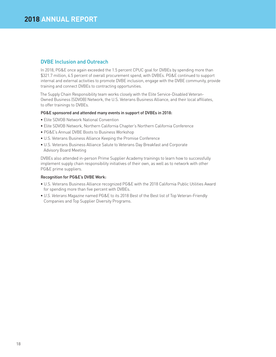## DVBE Inclusion and Outreach

In 2018, PG&E once again exceeded the 1.5 percent CPUC goal for DVBEs by spending more than \$321.7 million, 4.5 percent of overall procurement spend, with DVBEs. PG&E continued to support internal and external activities to promote DVBE inclusion, engage with the DVBE community, provide training and connect DVBEs to contracting opportunities.

The Supply Chain Responsibility team works closely with the Elite Service-Disabled Veteran-Owned Business (SDVOB) Network, the U.S. Veterans Business Alliance, and their local affiliates, to offer trainings to DVBEs.

### PG&E sponsored and attended many events in support of DVBEs in 2018:

- Elite SDVOB Network National Convention
- Elite SDVOB Network, Northern California Chapter's Northern California Conference
- PG&E's Annual DVBE Boots to Business Workshop
- U.S. Veterans Business Alliance Keeping the Promise Conference
- U.S. Veterans Business Alliance Salute to Veterans Day Breakfast and Corporate Advisory Board Meeting

DVBEs also attended in-person Prime Supplier Academy trainings to learn how to successfully implement supply chain responsibility initiatives of their own, as well as to network with other PG&E prime suppliers.

### Recognition for PG&E's DVBE Work:

- U.S. Veterans Business Alliance recognized PG&E with the 2018 California Public Utilities Award for spending more than five percent with DVBEs.
- *U.S. Veterans Magazine* named PG&E to its 2018 Best of the Best list of Top Veteran-Friendly Companies and Top Supplier Diversity Programs.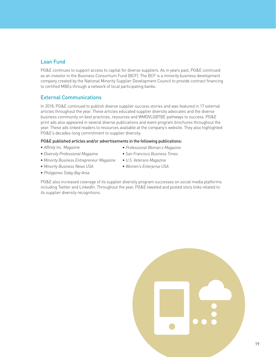## Loan Fund

PG&E continues to support access to capital for diverse suppliers. As in years past, PG&E continued as an investor in the Business Consortium Fund (BCF). The BCF is a minority business development company created by the National Minority Supplier Development Council to provide contract financing to certified MBEs through a network of local participating banks.

## External Communications

In 2018, PG&E continued to publish diverse supplier success stories and was featured in 17 external articles throughout the year. These articles educated supplier diversity advocates and the diverse business community on best practices, resources and WMDVLGBTBE pathways to success. PG&E print ads also appeared in several diverse publications and event program brochures throughout the year. These ads linked readers to resources available at the company's website. They also highlighted PG&E's decades-long commitment to supplier diversity.

### PG&E published articles and/or advertisements in the following publications:

• *Affinity Inc. Magazine*

- *Professional Woman's Magazine*
- *San Francisco Business Times*
- *Minority Business Entrepreneur Magazine*
- *U.S. Veterans Magazine* • *Women's Enterprise USA*
- *Minority Business News USA* • *Philippines Today Bay Area*

• *Diversity Professional Magazine*

PG&E also increased coverage of its supplier diversity program successes on social media platforms including Twitter and LinkedIn. Throughout the year, PG&E tweeted and posted story links related to its supplier diversity recognitions.

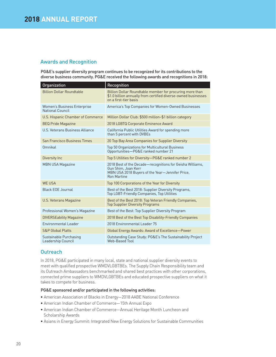## Awards and Recognition

PG&E's supplier diversity program continues to be recognized for its contributions to the diverse business community. PG&E received the following awards and recognitions in 2018:

| Organization                                           | Recognition                                                                                                                                               |
|--------------------------------------------------------|-----------------------------------------------------------------------------------------------------------------------------------------------------------|
| <b>Billion Dollar Roundtable</b>                       | Billion Dollar Roundtable member for procuring more than<br>\$1.0 billion annually from certified diverse-owned businesses<br>on a first-tier basis       |
| Women's Business Enterprise<br><b>National Council</b> | America's Top Companies for Women-Owned Businesses                                                                                                        |
| U.S. Hispanic Chamber of Commerce                      | Million Dollar Club: \$500 million-\$1 billion category                                                                                                   |
| <b>BEQ Pride Magazine</b>                              | 2018 LGBTQ Corporate Eminence Award                                                                                                                       |
| U.S. Veterans Business Alliance                        | California Public Utilities Award for spending more<br>than 5 percent with DVBEs                                                                          |
| San Francisco Business Times                           | 20 Top Bay Area Companies for Supplier Diversity                                                                                                          |
| Omnikal                                                | Top 50 Organizations for Multicultural Business<br>Opportunities-PG&E ranked number 21                                                                    |
| Diversity Inc                                          | Top 5 Utilities for Diversity-PG&E ranked number 2                                                                                                        |
| <b>MBN USA Magazine</b>                                | 2018 Best of the Decade-recognitions for Geisha Williams,<br>Gun Shim, Joan Kerr<br>MBN USA 2018 Buyers of the Year-Jennifer Price,<br><b>Ron Martine</b> |
| <b>WF USA</b>                                          | Top 100 Corporations of the Year for Diversity                                                                                                            |
| <b>Black EOE Journal</b>                               | Best of the Best 2018: Supplier Diversity Programs,<br><b>Top LGBT-Friendly Companies, Top Utilities</b>                                                  |
| <b>U.S. Veterans Magazine</b>                          | Best of the Best 2018: Top Veteran Friendly Companies,<br><b>Top Supplier Diversity Programs</b>                                                          |
| Professional Women's Magazine                          | Best of the Best: Top Supplier Diversity Program                                                                                                          |
| <b>DIVERSEability Magazine</b>                         | 2018 Best of the Best Top Disability-Friendly Companies                                                                                                   |
| Environmental Leader                                   | 2018 Environmental Leader 75                                                                                                                              |
| <b>S&amp;P Global Platts</b>                           | Global Energy Awards: Award of Excellence-Power                                                                                                           |
| Sustainable Purchasing<br>Leadership Council           | Outstanding Case Study: PG&E's The Sustainability Project<br>Web-Based Tool                                                                               |

## **Outreach**

In 2018, PG&E participated in many local, state and national supplier diversity events to meet with qualified prospective WMDVLGBTBEs. The Supply Chain Responsibility team and its Outreach Ambassadors benchmarked and shared best practices with other corporations, connected prime suppliers to WMDVLGBTBEs and educated prospective suppliers on what it takes to compete for business.

### PG&E sponsored and/or participated in the following activities:

- American Association of Blacks in Energy—2018 AABE National Conference
- American Indian Chamber of Commerce—15th Annual Expo
- American Indian Chamber of Commerce—Annual Heritage Month Luncheon and Scholarship Awards
- Asians in Energy Summit: Integrated New Energy Solutions for Sustainable Communities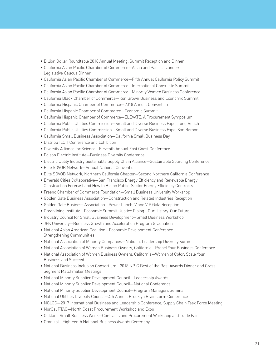- Billion Dollar Roundtable 2018 Annual Meeting, Summit Reception and Dinner
- California Asian Pacific Chamber of Commerce—Asian and Pacific Islanders Legislative Caucus Dinner
- California Asian Pacific Chamber of Commerce—Fifth Annual California Policy Summit
- California Asian Pacific Chamber of Commerce—International Consulate Summit
- California Asian Pacific Chamber of Commerce—Minority Women Business Conference
- California Black Chamber of Commerce—Ron Brown Business and Economic Summit
- California Hispanic Chamber of Commerce—2018 Annual Convention
- California Hispanic Chamber of Commerce—Economic Summit
- California Hispanic Chamber of Commerce—ELEVATE: A Procurement Symposium
- California Public Utilities Commission—Small and Diverse Business Expo, Long Beach
- California Public Utilities Commission—Small and Diverse Business Expo, San Ramon
- California Small Business Association—California Small Business Day
- DistribuTECH Conference and Exhibition
- Diversity Alliance for Science—Eleventh Annual East Coast Conference
- Edison Electric Institute—Business Diversity Conference
- Electric Utility Industry Sustainable Supply Chain Alliance—Sustainable Sourcing Conference
- Elite SDVOB Network—Annual National Convention
- Elite SDVOB Network, Northern California Chapter—Second Northern California Conference
- Emerald Cities Collaborative—San Francisco Energy Efficiency and Renewable Energy Construction Forecast and How to Bid on Public-Sector Energy Efficiency Contracts
- Fresno Chamber of Commerce Foundation—Small Business University Workshop
- Golden Gate Business Association—Construction and Related Industries Reception
- Golden Gate Business Association—Power Lunch IV and VIP Gala Reception
- Greenlining Institute—Economic Summit: Justice Rising—Our History. Our Future.
- Industry Council for Small Business Development—Small Business Workshop
- JFK University—Business Growth and Acceleration Program Graduation
- National Asian American Coalition—Economic Development Conference: Strengthening Communities
- National Association of Minority Companies—National Leadership Diversity Summit
- National Association of Women Business Owners, California—Propel Your Business Conference
- National Association of Women Business Owners, California—Women of Color: Scale Your Business and Succeed
- National Business Inclusion Consortium—2018 NBIC Best of the Best Awards Dinner and Cross Segment Matchmaker Meetings
- National Minority Supplier Development Council—Leadership Awards
- National Minority Supplier Development Council—National Conference
- National Minority Supplier Development Council—Program Managers Seminar
- National Utilities Diversity Council—4th Annual Brooklyn Brainstorm Conference
- NGLCC—2017 International Business and Leadership Conference, Supply Chain Task Force Meeting
- NorCal PTAC—North Coast Procurement Workshop and Expo
- Oakland Small Business Week—Contracts and Procurement Workshop and Trade Fair
- Omnikal—Eighteenth National Business Awards Ceremony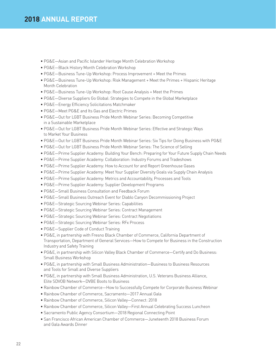- PG&E—Asian and Pacific Islander Heritage Month Celebration Workshop
- PG&E—Black History Month Celebration Workshop
- PG&E—Business Tune-Up Workshop: Process Improvement + Meet the Primes
- PG&E—Business Tune-Up Workshop: Risk Management + Meet the Primes + Hispanic Heritage Month Celebration
- PG&E—Business Tune-Up Workshop: Root Cause Analysis + Meet the Primes
- PG&E—Diverse Suppliers Go Global: Strategies to Compete in the Global Marketplace
- PG&E—Energy Efficiency Solicitations Matchmaker
- PG&E—Meet PG&E and Its Gas and Electric Primes
- PG&E—Out for LGBT Business Pride Month Webinar Series: Becoming Competitive in a Sustainable Marketplace
- PG&E—Out for LGBT Business Pride Month Webinar Series: Effective and Strategic Ways to Market Your Business
- PG&E—Out for LGBT Business Pride Month Webinar Series: Six Tips for Doing Business with PG&E
- PG&E—Out for LGBT Business Pride Month Webinar Series: The Science of Selling
- PG&E—Prime Supplier Academy: Building Your Bench: Preparing for Your Future Supply Chain Needs
- PG&E—Prime Supplier Academy: Collaboration: Industry Forums and Tradeshows
- PG&E—Prime Supplier Academy: How to Account for and Report Greenhouse Gases
- PG&E—Prime Supplier Academy: Meet Your Supplier Diversity Goals via Supply Chain Analysis
- PG&E—Prime Supplier Academy: Metrics and Accountability, Processes and Tools
- PG&E—Prime Supplier Academy: Supplier Development Programs
- PG&E—Small Business Consultation and Feedback Forum
- PG&E—Small Business Outreach Event for Diablo Canyon Decommissioning Project
- PG&E—Strategic Sourcing Webinar Series: Capabilities
- PG&E—Strategic Sourcing Webinar Series: Contract Management
- PG&E—Strategic Sourcing Webinar Series: Contract Negotiations
- PG&E—Strategic Sourcing Webinar Series: RFx Process
- PG&E—Supplier Code of Conduct Training
- PG&E, in partnership with Fresno Black Chamber of Commerce, California Department of Transportation, Department of General Services—How to Compete for Business in the Construction Industry and Safety Training
- PG&E, in partnership with Silicon Valley Black Chamber of Commerce—Certify and Do Business: Small Business Workshop
- PG&E, in partnership with Small Business Administration—Business to Business Resources and Tools for Small and Diverse Suppliers
- PG&E, in partnership with Small Business Administration, U.S. Veterans Business Alliance, Elite SDVOB Network—DVBE Boots to Business
- Rainbow Chamber of Commerce—How to Successfully Compete for Corporate Business Webinar
- Rainbow Chamber of Commerce, Sacramento—2017 Annual Gala
- Rainbow Chamber of Commerce, Silicon Valley—Connect: 2018
- Rainbow Chamber of Commerce, Silicon Valley—First Annual Celebrating Success Luncheon
- Sacramento Public Agency Consortium—2018 Regional Connecting Point
- San Francisco African American Chamber of Commerce—Juneteenth 2018 Business Forum and Gala Awards Dinner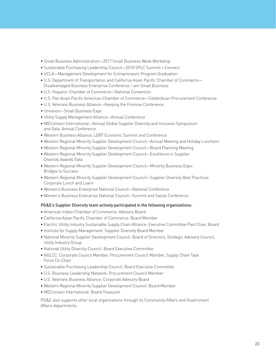- Small Business Administration—2017 Small Business Week Workshop
- Sustainable Purchasing Leadership Council—2018 SPLC Summit + Connect
- UCLA—Management Development for Entrepreneurs Program Graduation
- U.S. Department of Transportation and California Asian Pacific Chamber of Commerce— Disadvantaged Business Enterprise Conference: I am Small Business
- U.S. Hispanic Chamber of Commerce—National Convention
- U.S. Pan Asian Pacific American Chamber of Commerce—CelebrAsian Procurement Conference
- U.S. Veterans Business Alliance—Keeping the Promise Conference
- Univision—Small Business Expo
- Utility Supply Management Alliance—Annual Conference
- WEConnect International—Annual Global Supplier Diversity and Inclusion Symposium and Gala, Annual Conference
- Western Business Alliance, LGBT Economic Summit and Conference
- Western Regional Minority Supplier Development Council—Annual Meeting and Holiday Luncheon
- Western Regional Minority Supplier Development Council—Board Planning Meeting
- Western Regional Minority Supplier Development Council—Excellence in Supplier Diversity Awards Gala
- Western Regional Minority Supplier Development Council—Minority Business Expo: Bridges to Success
- Western Regional Minority Supplier Development Council—Supplier Diversity Best Practices Corporate Lunch and Learn
- Women's Business Enterprise National Council—National Conference
- Women's Business Enterprise National Council—Summit and Salute Conference

### PG&E's Supplier Diversity team actively participated in the following organizations:

- American Indian Chamber of Commerce: Advisory Board
- California Asian Pacific Chamber of Commerce: Board Member
- Electric Utility Industry Sustainable Supply Chain Alliance: Executive Committee Past Chair, Board
- Institute for Supply Management: Supplier Diversity Board Member
- National Minority Supplier Development Council: Board of Directors, Strategic Advisory Council, Utility Industry Group
- National Utility Diversity Council: Board Executive Committee
- NGLCC: Corporate Council Member, Procurement Council Member, Supply Chain Task Force Co-Chair
- Sustainable Purchasing Leadership Council: Board Executive Committee
- U.S. Business Leadership Network: Procurement Council Member
- U.S. Veterans Business Alliance: Corporate Advisory Board
- Western Regional Minority Supplier Development Council: Board Member
- WEConnect International: Board Treasurer

PG&E also supports other local organizations through its Community Affairs and Government Affairs departments.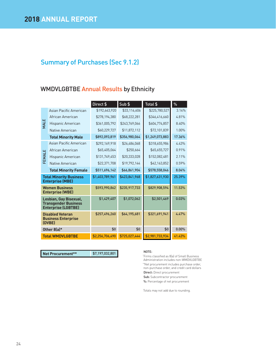## WMDVLGBTBE Annual Results by Ethnicity

|                                                           |                                                                                     | Direct \$       | Sub \$        | Total \$        | $\%$   |
|-----------------------------------------------------------|-------------------------------------------------------------------------------------|-----------------|---------------|-----------------|--------|
|                                                           | Asian Pacific American                                                              | \$192,663,920   | \$33,116,606  | \$225,780,527   | 3.14%  |
|                                                           | African American                                                                    | \$278,194,380   | \$68,222,281  | \$346,416,660   | 4.81%  |
| <b>MALE</b>                                               | Hispanic American                                                                   | \$361,005,792   | \$243,769,066 | \$604,774,857   | 8.40%  |
|                                                           | Native American                                                                     | \$60,229,727    | \$11,872,112  | \$72,101,839    | 1.00%  |
|                                                           | <b>Total Minority Male</b>                                                          | \$892,093,819   | \$356,980,064 | \$1,249,073,883 | 17.36% |
|                                                           | Asian Pacific American                                                              | \$292,169,918   | \$26,486,068  | \$318,655,986   | 4.43%  |
|                                                           | African American                                                                    | \$65,405,064    | \$250,664     | \$65,655,727    | 0.91%  |
| FEMALE                                                    | Hispanic American                                                                   | \$131,749,453   | \$20,333,028  | \$152,082,481   | 2.11%  |
|                                                           | Native American                                                                     | \$22,371,708    | \$19,792,144  | \$42,163,852    | 0.59%  |
|                                                           | <b>Total Minority Female</b>                                                        | \$511,696,142   | \$66,861,904  | \$578,558,046   | 8.04%  |
| <b>Total Minority Business</b><br><b>Enterprise (MBE)</b> |                                                                                     | \$1,403,789,961 | \$423,841,968 | \$1,827,631,930 | 25.39% |
|                                                           | <b>Women Business</b><br><b>Enterprise (WBE)</b>                                    | \$593,990,862   | \$235,917,733 | \$829,908,594   | 11.53% |
|                                                           | Lesbian, Gay Bisexual,<br><b>Transgender Business</b><br><b>Enterprise (LGBTBE)</b> | \$1,429,407     | \$1,072,062   | \$2,501,469     | 0.03%  |
|                                                           | <b>Disabled Veteran</b><br><b>Business Enterprise</b><br>(DVBE)                     | \$257,496,260   | \$64,195,681  | \$321,691,941   | 4.47%  |
|                                                           | Other 8(a)*                                                                         | \$0             | \$0           | \$0             | 0.00%  |
|                                                           | <b>Total WMDVLGBTBE</b>                                                             | \$2,256,706,490 | \$725,027,444 | \$2,981,733,934 | 41.43% |

**Net Procurement\*\*** \$7,197,032,801 **NOTE:** 

\* Firms classified as 8(a) of Small Business Administration includes non-WMDVLGBTBE \*\*Net procurement includes purchase order, non-purchase order, and credit card dollars Direct: Direct procurement Sub: Subcontractor procurement %: Percentage of net procurement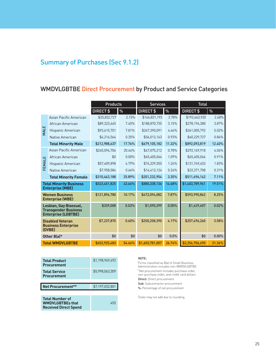## WMDVLGBTBE Direct Procurement by Product and Service Categories

| <b>Products</b> |                                                                                     |               | <b>Services</b> |                 | <b>Total</b> |                      |          |
|-----------------|-------------------------------------------------------------------------------------|---------------|-----------------|-----------------|--------------|----------------------|----------|
|                 |                                                                                     | DIRECT \$     | %               | DIRECT \$       | %            | DIRECT <sub>\$</sub> | %        |
|                 | Asian Pacific American                                                              | \$25,832,727  | 2.15%           | \$166,831,193   | 2.78%        | \$192,663,920        | 2.68%    |
|                 | African American                                                                    | \$89,323,645  | 7.45%           | \$188,870,735   | 3.15%        | \$278,194,380        | 3.87%    |
| <b>MALE</b>     | Hispanic American                                                                   | \$93,615,701  | 7.81%           | \$267,390,091   | 4.46%        | \$361,005,792        | 5.02%    |
|                 | Native American                                                                     | \$4,216,564   | 0.35%           | \$56,013,163    | 0.93%        | \$60,229,727         | 0.84%    |
|                 | <b>Total Minority Male</b>                                                          | \$212,988,637 | 17.76%          | \$679,105,182   | 11.32%       | \$892,093,819        | 12.40%   |
|                 | Asian Pacific American                                                              | \$245,094,706 | 20.44%          | \$47,075,212    | 0.78%        | \$292,169,918        | 4.06%    |
|                 | African American                                                                    | \$0           | $0.00\%$        | \$65,405,064    | 1.09%        | \$65,405,064         | 0.91%    |
| FEMALE          | Hispanic American                                                                   | \$57,409,898  | 4.79%           | \$74,339,555    | 1.24%        | \$131,749,453        | 1.83%    |
|                 | Native American                                                                     | \$7,958,584   | 0.66%           | \$14,413,124    | 0.24%        | \$22,371,708         | 0.31%    |
|                 | <b>Total Minority Female</b>                                                        | \$310,463,188 | 25.89%          | \$201,232,954   | 3.35%        | \$511,696,142        | 7.11%    |
|                 | <b>Total Minority Business</b><br><b>Enterprise (MBE)</b>                           | \$523,451,825 | 43.66%          | \$880,338,136   | 14.68%       | \$1,403,789,961      | 19.51%   |
|                 | <b>Women Business</b><br><b>Enterprise (WBE)</b>                                    | \$121,896,780 | 10.17%          | \$472,094,082   | 7.87%        | \$593,990,862        | 8.25%    |
|                 | Lesbian, Gay Bisexual,<br><b>Transgender Business</b><br><b>Enterprise (LGBTBE)</b> | \$339,008     | 0.03%           | \$1,090,399     | $0.00\%$     | \$1,429,407          | 0.02%    |
|                 | <b>Disabled Veteran</b><br><b>Business Enterprise</b><br>(DVBE)                     | \$7,237,870   | 0.60%           | \$250,258,390   | 4.17%        | \$257,496,260        | 3.58%    |
|                 | Other 8(a)*                                                                         | \$0           | \$0             | \$0             | 0.0%         | \$0                  | $0.00\%$ |
|                 | <b>Total WMDVLGBTBE</b>                                                             | \$652,925,483 | 54.46%          | \$1,603,781,007 | 26.74%       | \$2,256,706,490      | 31.36%   |

| <b>Total Product</b><br><b>Procurement</b> | \$1.198.969.492 |
|--------------------------------------------|-----------------|
| <b>Total Service</b><br><b>Procurement</b> | \$5.998.063.309 |
|                                            |                 |
|                                            |                 |
| Net Procurement**                          | \$7,197,032,801 |
|                                            |                 |

### NOTE:

\* Firms classified as 8(a) of Small Business Administration includes non-WMDVLGBTBE \*\*Net procurement includes purchase order, non-purchase order, and credit card dollars Direct: Direct procurement Sub: Subcontractor procurement %: Percentage of net procurement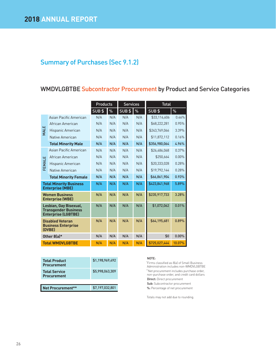## WMDVLGBTBE Subcontractor Procurement by Product and Service Categories

|             |                                                                                     | <b>Products</b> |      | <b>Services</b> |      | <b>Total</b>  |          |
|-------------|-------------------------------------------------------------------------------------|-----------------|------|-----------------|------|---------------|----------|
|             |                                                                                     | $SUB$ \$        | $\%$ | $SUB$ \$        | $\%$ | SUB\$         | %        |
|             | Asian Pacific American                                                              | N/A             | N/A  | N/A             | N/A  | \$33,116,606  | 0.46%    |
|             | African American                                                                    | N/A             | N/A  | N/A             | N/A  | \$68,222,281  | 0.95%    |
| <b>MALE</b> | Hispanic American                                                                   | N/A             | N/A  | N/A             | N/A  | \$243,769,066 | 3.39%    |
|             | Native American                                                                     | N/A             | N/A  | N/A             | N/A  | \$11,872,112  | 0.16%    |
|             | <b>Total Minority Male</b>                                                          | N/A             | N/A  | N/A             | N/A  | \$356,980,064 | 4.96%    |
|             | Asian Pacific American                                                              | N/A             | N/A  | N/A             | N/A  | \$26,486,068  | 0.37%    |
|             | African American                                                                    | N/A             | N/A  | N/A             | N/A  | \$250,664     | $0.00\%$ |
| FEMALE      | Hispanic American                                                                   | N/A             | N/A  | N/A             | N/A  | \$20,333,028  | 0.28%    |
|             | Native American                                                                     | N/A             | N/A  | N/A             | N/A  | \$19,792,144  | 0.28%    |
|             | <b>Total Minority Female</b>                                                        | N/A             | N/A  | N/A             | N/A  | \$66,861,904  | 0.93%    |
|             | <b>Total Minority Business</b><br><b>Enterprise (MBE)</b>                           | N/A             | N/A  | N/A             | N/A  | \$423,841,968 | 5.89%    |
|             | <b>Women Business</b><br><b>Enterprise (WBE)</b>                                    | N/A             | N/A  | N/A             | N/A  | \$235,917,733 | 3.28%    |
|             | Lesbian, Gay Bisexual,<br><b>Transgender Business</b><br><b>Enterprise (LGBTBE)</b> | N/A             | N/A  | N/A             | N/A  | \$1,072,062   | 0.01%    |
|             | <b>Disabled Veteran</b><br><b>Business Enterprise</b><br>(DVBE)                     | N/A             | N/A  | N/A             | N/A  | \$64,195,681  | 0.89%    |
|             | Other 8(a)*                                                                         | N/A             | N/A  | N/A             | N/A  | \$0           | $0.00\%$ |
|             | <b>Total WMDVLGBTBE</b>                                                             | N/A             | N/A  | N/A             | N/A  | \$725,027,444 | 10.07%   |

| <b>Total Product</b><br><b>Procurement</b> | \$1,198,969,492 |
|--------------------------------------------|-----------------|
| <b>Total Service</b><br><b>Procurement</b> | \$5,998,063,309 |
|                                            |                 |
| Net Procurement**                          | \$7,197,032,801 |

#### NOTE:

\* Firms classified as 8(a) of Small Business Administration includes non-WMDVLGBTBE \*\*Net procurement includes purchase order, non-purchase order, and credit card dollars Direct: Direct procurement Sub: Subcontractor procurement %: Percentage of net procurement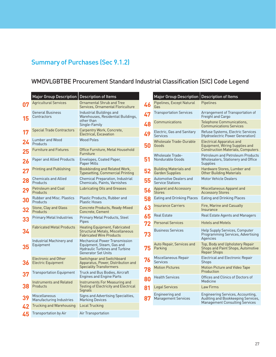## WMDVLGBTBE Procurement Standard Industrial Classification (SIC) Code Legend

|    | <b>Major Group Description</b>                           | <b>Description of Items</b>                                                                                                |
|----|----------------------------------------------------------|----------------------------------------------------------------------------------------------------------------------------|
| 07 | <b>Agricultural Services</b>                             | Ornamental Shrub and Tree<br>Services, Ornamental Floriculture                                                             |
| 15 | <b>General Business</b><br>Contractors                   | Industrial Buildings and<br>Warehouses, Residential Buildings,<br>other than<br>Single-Family                              |
| 17 | <b>Special Trade Contractors</b>                         | Carpentry Work, Concrete,<br>Electrical, Excavation                                                                        |
| 24 | <b>Lumber and Wood</b><br>Products                       | <b>Wood Poles</b>                                                                                                          |
| 25 | <b>Furniture and Fixtures</b>                            | Office Furniture, Metal Household<br>Furniture                                                                             |
| 26 | Paper and Allied Products                                | Envelopes, Coated Paper,<br>Paper Mills                                                                                    |
| 27 | Printing and Publishing                                  | Bookbinding and Related Work,<br>Typesetting, Commercial Printing                                                          |
| 28 | <b>Chemicals and Allied</b><br>Products                  | Chemical Preparation, Industrial<br><b>Chemicals, Paints, Varnishes</b>                                                    |
| 29 | <b>Petroleum and Coal</b><br>Products                    | Lubricating Oils and Greases                                                                                               |
| 30 | <b>Rubber and Misc. Plastics</b><br>Products             | Plastic Products, Rubber and<br>Plastic Hoses                                                                              |
| 32 | Stone, Clay and Glass<br>Products                        | Concrete Products, Ready-Mixed<br>Concrete, Cement                                                                         |
| 33 | <b>Primary Metal Industries</b>                          | Primary Metal Products, Steel<br>Pipes                                                                                     |
| 34 | <b>Fabricated Metal Products</b>                         | Heating Equipment, Fabricated<br><b>Structural Metals, Miscellaneous</b><br><b>Fabricated Wire Products</b>                |
| 35 | Industrial Machinery and<br>Equipment                    | Mechanical Power Transmission<br>Equipment, Steam, Gas and<br>Hydraulic Turbines and Turbine<br><b>Generator Set Units</b> |
| 36 | <b>Electronic and Other</b><br><b>Electric Equipment</b> | Switchgear and Switchboard<br>Apparatus, Power, Distribution and<br>Speciality Transformers                                |
| 37 | Transportation Equipment                                 | Truck and Bus Bodies, Aircraft<br>Engines and Engine Parts                                                                 |
| 38 | <b>Instruments and Related</b><br>Products               | Instruments For Measuring and<br><b>Testing of Electricity and Electrical</b><br>Signals                                   |
| 39 | Miscellaneous<br>Manufacturing Industries                | Signs and Advertising Specialties,<br>Marking Devices                                                                      |
| 47 | Trucking and Warehousing                                 | Local Trucking                                                                                                             |
| 45 | Transportation by Air                                    | Air Transportation                                                                                                         |

|    | <b>Major Group Description</b>                    | <b>Description of Items</b>                                                                               |
|----|---------------------------------------------------|-----------------------------------------------------------------------------------------------------------|
| 46 | Pipelines, Except Natural<br>Gas                  | Pipelines                                                                                                 |
| 47 | <b>Transportation Services</b>                    | Arrangement of Transportation of<br>Freight and Cargo                                                     |
| 48 | Communications                                    | Telephone Communications,<br><b>Communications Services</b>                                               |
| 49 | Electric, Gas and Sanitary<br><b>Services</b>     | Refuse Systems, Electric Services<br>(Hydroelectric Power Generation)                                     |
| 50 | Wholesale Trade-Durable<br>Goods                  | Electrical Apparatus and<br>Equipment, Wiring Supplies and<br><b>Construction Materials, Computers</b>    |
| 51 | <b>Wholesale Trade-</b><br>Nondurable Goods       | <b>Petroleum and Petroleum Products</b><br>Wholesalers, Stationery and Office<br>Supplies                 |
| 52 | Building Materials and<br><b>Garden Supplies</b>  | Hardware Stores, Lumber and<br><b>Other Building Materials</b>                                            |
| 55 | Automotive Dealers and<br><b>Service Stations</b> | <b>Motor Vehicle Dealers</b>                                                                              |
| 56 | <b>Apparel and Accessory</b><br>Stores            | Miscellaneous Apparel and<br><b>Accessory Stores</b>                                                      |
| 58 | Eating and Drinking Places                        | Eating and Drinking Places                                                                                |
| 63 | <b>Insurance Carriers</b>                         | Fire, Marine and Casualty<br>Insurance                                                                    |
| 65 | <b>Real Estate</b>                                | Real Estate Agents and Managers                                                                           |
| 72 | <b>Personal Services</b>                          | <b>Hotels and Motels</b>                                                                                  |
| 73 | <b>Business Services</b>                          | Help Supply Services, Computer<br>Programming Services, Advertising<br>Agencies                           |
| 75 | Auto Repair, Services and<br>Parking              | Top, Body and Upholstery Repair<br>Shops and Paint Shops, Automotive<br>Repair Shops                      |
| 76 | Miscellaneous Repair<br><b>Services</b>           | Electrical and Electronic Repair<br>Shops                                                                 |
| 78 | <b>Motion Pictures</b>                            | Motion Picture and Video Tape<br>Production                                                               |
| 80 | <b>Health Services</b>                            | Offices and Clinics of Doctors of<br>Medicine                                                             |
| 81 | Legal Services                                    | <b>Law Firms</b>                                                                                          |
| 87 | Engineering and<br>Management Services            | Engineering Services, Accounting,<br>Auditing and Bookkeeping Services,<br>Management Consulting Services |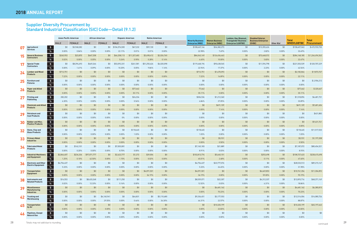## Supplier Diversity Procurement by Standard Industrial Classification (SIC) Code—Detail (9.1.2)

|           |                                                                                           |              | <b>Asian Pacific American</b> | <b>African American</b> |                 | <b>Hispanic American</b> |               | <b>Native American</b> |                 |                                                     | <b>Women Business</b>   | Lesbian, Gay, Bisexual,                                   | <b>Disabled Veteran</b>              |                 | <b>Total</b>           | <b>Total</b>       |
|-----------|-------------------------------------------------------------------------------------------|--------------|-------------------------------|-------------------------|-----------------|--------------------------|---------------|------------------------|-----------------|-----------------------------------------------------|-------------------------|-----------------------------------------------------------|--------------------------------------|-----------------|------------------------|--------------------|
|           |                                                                                           | <b>MALE</b>  | <b>FEMALE</b>                 | <b>MALE</b>             | <b>FEMALE</b>   | MALE                     | <b>FEMALE</b> | MALE                   | <b>FEMALE</b>   | <b>Minority Business</b><br><b>Enterprise (MBE)</b> | <b>Enterprise (WBE)</b> | <b>Transgender Business</b><br><b>Enterprise (LGBTBE)</b> | <b>Business Enterprise</b><br>(DVBE) | Other 8(a)      | <b>WMDVLGBTBE</b>      | <b>Procurement</b> |
| 07        | $\frac{1}{2}$<br>Agricultural                                                             | \$0          | \$3,968,282                   | \$0                     | \$0             | \$104,574,500            | \$67,232      | \$59,130               | \$0             | \$108,669,144                                       | \$36,382,273            | \$0                                                       | \$13,355,626                         | \$0             | \$158,407,043          | \$472,933,730      |
|           | <b>Services</b><br>$\%$                                                                   | 0.00%        | 0.84%                         | 0.00%                   | 0.00%           | 22.11%                   | 0.01%         | 0.01%                  | 0.00%           | 22.98%                                              | 7.69%                   | 0.00%                                                     | 2.82%                                | 0.00%           | 33.49%                 |                    |
|           | $\frac{1}{2}$<br><b>General Business</b><br><b>Contractors</b>                            | \$260,953    | \$23,870                      | \$647,358               | \$0             | \$66,258,113             | \$11,327,683  | \$3,498,412            | \$2,026,760     | \$84,043,149                                        | \$126,456,463           | \$0                                                       | \$73,668,572                         | \$0             | \$284,168,185          | \$1,264,494,563    |
|           | $\frac{0}{6}$                                                                             | 0.02%        | $0.00\%$                      | 0.05%                   | 0.00%           | 5.24%                    | 0.90%         | 0.28%                  | 0.16%           | 6.65%                                               | 10.00%                  | 0.00%                                                     | 5.83%                                | 0.00%           | 22.47%                 |                    |
| 17        | $\sqrt{5}$<br><b>Special Trade</b><br><b>Contractors</b>                                  | \$0          | \$8,394,493                   | \$449,266               | \$0             | \$53,092,331             | \$261,581     | \$51,250,426           | \$6,020,098     | \$119,468,196                                       | \$90,438,545            | \$0                                                       | \$11,596,798                         | \$0             | \$221,503,539          | \$520,707,229      |
|           | $\%$                                                                                      | 0.00%        | 1.61%                         | 0.09%                   | $0.00\%$        | 10.20%                   | 0.05%         | 9.84%                  | 1.16%           | 22.94%                                              | 17.37%                  | $0.00\%$                                                  | 2.23%                                | $0.00\%$        | 42.54%                 |                    |
| 24        | $\sqrt{5}$<br><b>Lumber and Wood</b><br><b>Products</b>                                   | \$712,751    | \$0                           | \$0                     | \$0             | \$0                      | \$0           | \$0                    | \$0             | \$712,751                                           | \$1,470,093             | \$0                                                       | \$0                                  | \$0             | \$2,182,844            | \$9,873,747        |
|           | $\%$                                                                                      | 7.22%        | $0.00\%$                      | $0.00\%$                | $0.00\%$        | $0.00\%$                 | 0.00%         | 0.00%                  | $0.00\%$        | 7.22%                                               | 14.89%                  | 0.00%                                                     | 0.00%                                | 0.00%           | 22.11%                 |                    |
| 25        | $\sqrt{5}$<br><b>Furniture and</b><br><b>Fixtures</b>                                     | \$0          | \$0                           | \$0                     | \$0             | \$0                      | \$0           | \$0                    | \$0             | \$0                                                 | \$0                     | \$0\$                                                     | \$0                                  | \$0             | \$0                    | \$2,906,212        |
|           | $\%$                                                                                      | $0.00\%$     | $0.00\%$                      | $0.00\%$                | $0.00\%$        | $0.00\%$                 | $0.00\%$      | 0.00%                  | $0.00\%$        | $0.00\%$                                            | 0.00%                   | 0.00%                                                     | $0.00\%$                             | $0.00\%$        | $0.00\%$               |                    |
| <b>26</b> | $\sqrt{5}$<br><b>Paper and Allied</b><br><b>Products</b>                                  | \$0          | \$0                           | \$0                     | \$0             | \$0                      | \$77,462      | \$0                    | \$0             | 77,462                                              | \$0                     | \$0\$                                                     | \$0                                  | \$0             | \$77,462               | \$220,647          |
|           | $\%$                                                                                      | 0.00%        | $0.00\%$                      | 0.00%                   | 0.00%           | 0.00%                    | 35.11%        | 0.00%                  | $0.00\%$        | 35.11%                                              | 0.00%                   | 0.00%                                                     | 0.00%                                | 0.00%           | 35.11%                 |                    |
|           | $\sqrt{ }$<br><b>Printing and</b><br>Publishing                                           | 282,202      | \$0                           | \$0                     | \$0             | \$0                      | \$24,334      | \$0                    | \$0             | \$306,536                                           | \$1,212,360             | \$0                                                       | \$0                                  | \$0             | \$1,518,896            | \$4,481,731        |
|           | $\frac{0}{6}$                                                                             | 6.30%        | $0.00\%$                      | $0.00\%$                | $0.00\%$        | $0.00\%$                 | 0.54%         | $0.00\%$               | $0.00\%$        | 6.84%                                               | 27.05%                  | $0.00\%$                                                  | 0.00%                                | 0.00%           | 33.89%                 |                    |
| 28        | $\sqrt{5}$<br><b>Chemicals and Allied</b><br><b>Products</b>                              | \$0          | \$0                           | \$0                     | \$0             | \$0                      | \$0           | \$0                    | \$0             | \$0                                                 | \$691,109               | \$0                                                       | \$0                                  | \$0             | \$691,109              | \$9,681,604        |
|           | $\%$                                                                                      | 0.00%        | 0.00%                         | 0.00%                   | $0.00\%$        | $0.00\%$                 | 0.00%         | 0.00%                  | $0.00\%$        | $0.00\%$                                            | 7.14%                   | $0.00\%$                                                  | 0.00%                                | 0.00%           | 7.14%                  |                    |
| 29        | $\sqrt{5}$<br><b>Petroleum and</b><br><b>Coal Products</b>                                | \$0          | \$0                           | \$0                     | \$0             | \$0                      | \$0           | \$0                    | \$0             | \$0                                                 | \$0                     | \$0                                                       | \$0                                  | \$0             | \$0                    | \$431,883          |
|           | $\%$                                                                                      | 0.00%        | 0.00%                         | $0.00\%$                | $0.00\%$        | $0\%$                    | 0.00%         | 0.00%                  | $0.00\%$        | 0.00%                                               | $0.00\%$                | 0.00%                                                     | 0.00%                                | 0.00%           | $0.00\%$               |                    |
| 30        | $\sqrt{5}$<br><b>Rubber and Misc.</b><br><b>Plastics Products</b>                         | \$0          | \$0                           | \$0                     | \$0             | \$0                      | \$0           | \$0                    | \$0             | \$0                                                 | \$0                     | \$0                                                       | \$0                                  | \$0             | \$0                    | \$9,631,761        |
|           | $\frac{9}{6}$                                                                             | 0.00%        | $0.00\%$                      | 0.00%                   | $0.00\%$        | 0.00%                    | 0.00%         | 0.00%                  | $0.00\%$        | 0.00%                                               | 0.00%                   | 0.00%                                                     | 0.00%                                | 0.00%           | $0.00\%$               |                    |
| 32        | $\sqrt{5}$<br>Stone, Clay and<br><b>Glass Products</b>                                    | \$0          | \$0                           | \$0                     | \$0             | \$0                      | \$118,445     | \$0                    | \$0             | \$118,445                                           | \$0                     | \$0                                                       | \$0                                  | \$0             | \$118,445              | \$11,517,533       |
|           | $\%$                                                                                      | 0.00%        | $0.00\%$                      | $0.00\%$                | $0.00\%$        | $0.00\%$                 | 1.03%         | 0.00%                  | $0.00\%$        | 1.03%                                               | $0.00\%$                | $0.00\%$                                                  | $0.00\%$                             | 0.00%           | 1.03%                  |                    |
| 33        | $\sqrt{5}$<br><b>Primary Metal</b><br><b>Industries</b>                                   | \$0          | \$0                           | \$0                     | \$0             | \$0                      | \$0           | \$0                    | \$0             | \$0                                                 | \$5,931                 | \$0                                                       | \$0                                  | \$0             | \$5,931                | \$1,197,208        |
|           | $\%$                                                                                      | 0.00%        | 0.00%                         | 0.00%                   | $0.00\%$        | 0.00%                    | 0.00%         | 0.00%                  | $0.00\%$        | 0.00%                                               | 0.50%                   | $0.00\%$                                                  | 0.00%                                | $0.00\%$        | 0.50%                  |                    |
| 34        | $\sqrt{5}$<br><b>Fabricated Metal</b><br><b>Products</b>                                  | \$0          | \$162,101                     | \$0                     | \$0             | \$7,003,081              | \$0           | \$0                    | \$0             | \$7,165,183                                         | \$21,889                | \$0                                                       | \$0                                  | \$0             | \$7,187,072            | \$80,454,521       |
|           | $\frac{1}{2}$                                                                             | 0.00%        | 0.20%                         | $0.00\%$                | 0.00%           | 8.70%                    | 0.00%         | 0.00%                  | $0.00\%$        | 8.91%                                               | 0.03%                   | $0.00\%$                                                  | 0.00%                                | 0.00%           | 8.93%                  |                    |
| 35        | $\frac{1}{2}$<br><b>Industrial Machinery</b><br>and Equipment                             | \$2,844,607  | \$234,336                     | \$97,071,777            | \$0             | \$2,622,777              | \$1,272       | \$39,004               | \$0             | \$102,813,774                                       | \$5,660,151             | \$0                                                       | \$253,498                            | \$0             | \$108,727,423          | \$228,415,698      |
|           | $\%$                                                                                      | 1.25%        | 0.10%                         | 42.50%                  | $0.00\%$        | 1.15%                    | 0.00%         | 0.02%                  | $0.00\%$        | 45.01%                                              | 2.48%                   | 0.00%                                                     | 0.11%                                | 0.00%           | 47.60%                 |                    |
| 36        | $\sqrt{5}$<br><b>Electronic and Other</b><br><b>Electric Equipment</b>                    | \$4,756,437  | \$0                           | \$0                     | \$0             | \$0                      | \$0           | \$0                    | \$0             | \$4,756,437                                         | \$23,777,076            | \$0                                                       | \$0                                  | \$0             | \$28,533,513           | \$89,215,147       |
|           | $\%$                                                                                      | 5.33%        | $0.00\%$                      | 0.00%                   | 0.00%           | $0.00\%$                 | 0.00%         | 0.00%                  | $0.00\%$        | 5.33%                                               | 26.65%                  | $0.00\%$                                                  | 0.00%                                | 0.00%           | 31.98%                 |                    |
| 37        | $\overline{\mathbf{1}^{\mathbf{5}}}$<br><b>Transportation</b><br><b>Equipment</b><br>$\%$ | \$0<br>0.00% | \$0<br>$0.00\%$               | \$0<br>$0.00\%$         | \$0<br>$0.00\%$ | \$0<br>$0.00\%$          | \$0           | \$4,091,501<br>36.19%  | \$0<br>$0.00\%$ | \$4,091,501<br>36.19%                               | \$0<br>0.00%            | \$0<br>$0.00\%$                                           | \$6,669,853<br>59.00%                | \$0             | \$10,761,354<br>95.19% | \$11,304,892       |
|           | $\sqrt{5}$<br>Instruments and                                                             | \$14,553     | \$0                           | \$8,433,268             | \$0             | \$111,250                | 0.00%<br>\$0  | \$0                    | \$0             | \$8,559,071                                         | \$22,307                | \$0                                                       | \$4,312,337                          | $0.00\%$<br>\$0 | \$12,893,716           | \$68,371,169       |
| 38        | <b>Related Products</b><br>$\%$                                                           | 0.02%        | $0.00\%$                      | 12.33%                  | $0.00\%$        | 0.16%                    | $0.00\%$      | $0.00\%$               | $0.00\%$        | 12.52%                                              | 0.03%                   | $0.00\%$                                                  | 6.31%                                | $0.00\%$        | 18.86%                 |                    |
|           | $\sqrt{2}$<br><b>Miscellaneous</b>                                                        | \$0          | \$0                           | \$0                     | \$0             | \$0                      | \$0           | \$0                    | \$0             | \$0                                                 | \$4,481,162             | \$0                                                       | \$0                                  | \$0             | \$4,481,162            | \$6,380,815        |
| 39        | Manufacturing<br>$\%$                                                                     | $0.00\%$     | $0.00\%$                      | $0.00\%$                | $0.00\%$        | $0.00\%$                 | $0.00\%$      | $0.00\%$               | $0.00\%$        | $0.00\%$                                            | 70.23%                  | $0.00\%$                                                  | $0.00\%$                             | $0.00\%$        | 70.23%                 |                    |
|           | <b>Industries</b>                                                                         |              |                               |                         |                 |                          |               |                        |                 |                                                     |                         |                                                           |                                      |                 |                        |                    |
| 42        | $\sqrt{2}$<br><b>Trucking and</b><br>Warehousing                                          | \$0          | \$0                           | \$0                     | \$4,160,941     | \$0                      | \$64,831      | \$0                    | \$5,110,680     | \$9,336,451                                         | \$3,177,553             | \$0                                                       | \$0                                  | \$0             | \$12,514,004           | \$14,080,726       |
|           | $\%$                                                                                      | $0.00\%$     | $0.00\%$                      | $0.00\%$                | 29.55%          | $0.00\%$                 | 0.46%         | 0.00%                  | 36.30%          | 66.31%                                              | 22.57%                  | $0.00\%$                                                  | 0.00%                                | $0.00\%$        | 88.87%                 |                    |
| 45        | $\sqrt{ }$<br><b>Transportation</b><br>by Air                                             | \$0          | \$0                           | \$0                     | \$0             | \$0                      | \$0           | \$0                    | \$0             | \$0                                                 | \$10,320,199            | \$0                                                       | \$0                                  | \$0             | \$10,320,199           | \$45,197,443       |
|           | $\%$                                                                                      | $0.00\%$     | $0.00\%$                      | $0.00\%$                | $0.00\%$        | $0.00\%$                 | 0.00%         | $0.00\%$               | $0.00\%$        | $0.00\%$                                            | 22.83%                  | $0.00\%$                                                  | 0.00%                                | $0.00\%$        | 22.83%                 |                    |
| 40        | $\sqrt{2}$<br><b>Pipelines, Except</b><br><b>Natural Gas</b>                              | \$0          | \$0                           | \$0                     | \$0             | \$0                      | \$0           | \$0                    | \$0             | \$0                                                 | \$0                     | \$0                                                       | \$0                                  | \$0             | \$0                    | \$0                |
|           | $\%$                                                                                      | 0.00%        | $0.00\%$                      | $0.00\%$                | $0.00\%$        | $0.00\%$                 | 0.00%         | 0.00%                  | $0.00\%$        | $0.00\%$                                            | $0.00\%$                | $0.00\%$                                                  | 0.00%                                | $0.00\%$        | $0.00\%$               |                    |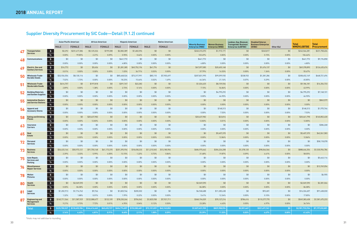## Supplier Diversity Procurement by SIC Code—Detail (9.1.2) continued

|                |                                                                 | <b>Asian Pacific American</b> |               | <b>African American</b> |               | <b>Hispanic American</b> |               | <b>Native American</b> |               |                                                     |                                                  | Lesbian, Gay, Bisexual,                                   | <b>Disabled Veteran</b>              |            |                                   |                                    |
|----------------|-----------------------------------------------------------------|-------------------------------|---------------|-------------------------|---------------|--------------------------|---------------|------------------------|---------------|-----------------------------------------------------|--------------------------------------------------|-----------------------------------------------------------|--------------------------------------|------------|-----------------------------------|------------------------------------|
|                |                                                                 | <b>MALE</b>                   | <b>FEMALE</b> | <b>MALE</b>             | <b>FEMALE</b> | <b>MALE</b>              | <b>FEMALE</b> | <b>MALE</b>            | <b>FEMALE</b> | <b>Minority Business</b><br><b>Enterprise (MBE)</b> | <b>Women Business</b><br><b>Enterprise (WBE)</b> | <b>Transgender Business</b><br><b>Enterprise (LGBTBE)</b> | <b>Business Enterprise</b><br>(DVBE) | Other 8(a) | <b>Total</b><br><b>WMDVLGBTBE</b> | <b>Total</b><br><b>Procurement</b> |
| 47             | $$^{\circ}$<br><b>Transportation</b>                            | \$3,292                       | \$231,417,386 | \$5,125,324             | \$199,308     | \$2,082,389              | \$1,482,594   | \$0                    | \$0           | \$240,310,293                                       | \$1,915,171                                      | \$0                                                       | \$340,817                            | \$0        | \$242,566,281                     | \$231,758,604                      |
|                | <b>Services</b><br>$\%$                                         | 0.00%                         | 99.85%        | 2.21%                   | 0.09%         | 0.90%                    | 0.64%         | $0.00\%$               | $0.00\%$      | 103.69%                                             | 0.83%                                            | 0.00%                                                     | 0.15%                                | $0.00\%$   | 104.66%                           |                                    |
|                | $\sqrt{2}$<br><b>Communications</b>                             | \$0                           | \$0           | \$0                     | \$0           | \$441,772                | \$0           | \$0                    | \$0           | \$441,772                                           | \$0                                              | \$0                                                       | \$0                                  | \$0        | \$441,772                         | \$9,194,858                        |
|                | $\%$                                                            | 0.00%                         | $0.00\%$      | 0.00%                   | 0.00%         | 4.80%                    | $0.00\%$      | $0.00\%$               | $0.00\%$      | 4.80%                                               | 0.00%                                            | 0.00%                                                     | 0.00%                                | $0.00\%$   | 4.80%                             |                                    |
| 49             | $\mathsf{\$}$<br><b>Electric, Gas and</b>                       | \$16,773                      | \$0           | \$5,456                 | \$0           | \$1,281,385              | \$45,752,196  | \$41,774               | \$0           | \$47,097,585                                        | \$20,605,168                                     | \$0                                                       | \$1,676,137                          | \$0        | \$69,378,890                      | \$124,635,674                      |
|                | <b>Sanitary Services</b><br>$\%$                                | 0.01%                         | $0.00\%$      | 0.00%                   | 0.00%         | 1.03%                    | 36.71%        | 0.03%                  | $0.00\%$      | 37.79%                                              | 16.53%                                           | $0.00\%$                                                  | 1.34%                                | $0.00\%$   | 55.67%                            |                                    |
| 50             | $\frac{1}{2}$<br><b>Wholesale Trade-</b>                        | \$32,926,556                  | \$8,130,114   | \$0                     | \$0           | \$85,468,526             | \$73,317,991  | \$85,110               | \$7,903,697   | \$207,831,995                                       | \$99,099,935                                     | \$338,933                                                 | \$1,381,286                          | \$0        | \$308,652,149                     | \$468,721,696                      |
|                | <b>Durable Goods</b><br>$\%$                                    | 7.02%                         | 1.73%         | 0.00%                   | 0.00%         | 18.23%                   | 15.64%        | 0.02%                  | 1.69%         | 44.34%                                              | 21.14%                                           | 0.07%                                                     | 0.29%                                | $0.00\%$   | 65.85%                            |                                    |
| 5 <sub>1</sub> | $$$<br><b>Wholesale Trade-</b>                                  | \$414,757                     | \$0           | \$197,818               | \$0           | \$391,767                | \$22,282      | \$0                    | \$0           | \$1,026,625                                         | \$8,159,556                                      | \$0                                                       | \$0                                  | \$0        | \$9,186,181                       | \$14,354,733                       |
|                | <b>Nondurable Goods</b><br>$\%$                                 | 2.89%                         | $0.00\%$      | 1.38%                   | 0.00%         | 2.73%                    | 0.16%         | $0.00\%$               | $0.00\%$      | 7.15%                                               | 56.84%                                           | 0.00%                                                     | 0.00%                                | $0.00\%$   | 63.99%                            |                                    |
| 52             | $\mathsf{\$}$<br><b>Building Materials</b>                      | \$0                           | \$0           | \$0                     | \$0           | \$0                      | \$0           | \$0                    | \$0           | \$0                                                 | \$4,795,292                                      | \$0                                                       | \$0                                  | \$0        | \$4,795,292                       | \$7,168,101                        |
|                | and Garden Supplies<br>$\%$                                     | 0.00%                         | 0.00%         | 0.00%                   | 0.00%         | 0.00%                    | $0.00\%$      | $0.00\%$               | 0.00%         | $0.00\%$                                            | 66.90%                                           | 0.00%                                                     | 0.00%                                | $0.00\%$   | 66.90%                            |                                    |
| 55             | $$^{\circ}$<br><b>Automotive Dealers</b>                        | \$0                           | \$0           | \$0                     | \$0           | \$0                      | \$0           | \$0                    | \$0           | \$0                                                 | \$0                                              | \$0                                                       | \$0                                  | \$0        | \$0                               | \$843,579                          |
|                | and Service Stations<br>$\%$                                    | 0.00%                         | $0.00\%$      | 0.00%                   | 0.00%         | 0.00%                    | $0.00\%$      | $0.00\%$               | $0.00\%$      | $0.00\%$                                            | 0.00%                                            | 0.00%                                                     | 0.00%                                | $0.00\%$   | $0.00\%$                          |                                    |
| 56             | $$^{\circ}$<br>Apparel and<br><b>Accessory Stores</b>           | \$0                           | \$0           | \$0                     | \$0           | \$0                      | \$0           | \$0                    | \$0           | \$0                                                 | \$148,313                                        | \$0                                                       | \$0                                  | \$0        | \$148,313                         | \$1,970,746                        |
|                | $\%$                                                            | 0.00%                         | $0.00\%$      | 0.00%                   | 0.00%         | $0.00\%$                 | $0.00\%$      | $0.00\%$               | 0.00%         | $0.00\%$                                            | 7.53%                                            | 0.00%                                                     | 0.00%                                | $0.00\%$   | 7.53%                             |                                    |
| 58             | $$$<br><b>Eating and Drinking</b><br><b>Places</b>              | \$0                           | \$0           | \$20,637,982            | \$0           | \$0                      | \$0           | \$0                    | \$0           | \$20,637,982                                        | \$23,816                                         | \$0                                                       | \$0                                  | \$0        | \$20,661,798                      | \$160,852,430                      |
|                | $\%$                                                            | 0.00%                         | 0.00%         | 12.83%                  | 0.00%         | $0.00\%$                 | 0.00%         | $0.00\%$               | $0.00\%$      | 12.83%                                              | 0.01%                                            | 0.00%                                                     | $0.00\%$                             | $0.00\%$   | 12.85%                            |                                    |
| 63             | $$$<br><b>Insurance</b>                                         | \$0                           | \$0           | \$0                     | \$0           | \$0                      | \$0           | \$0                    | \$0           | \$0                                                 | \$0                                              | \$0                                                       | \$0                                  | \$0        | \$0                               | \$386,268                          |
|                | <b>Carriers</b><br>$\%$                                         | 0.00%                         | $0.00\%$      | 0.00%                   | 0.00%         | 0.00%                    | $0.00\%$      | $0.00\%$               | 0.00%         | $0.00\%$                                            | 0.00%                                            | 0.00%                                                     | 0.00%                                | $0.00\%$   | $0.00\%$                          |                                    |
| 65             | $\mathsf{\$}$<br>Real<br><b>Estate</b>                          | \$0                           | \$0           | \$0                     | \$0           | \$0                      | \$0           | \$0                    | \$0           | \$0                                                 | \$5,407,370                                      | \$0                                                       | \$0                                  | \$0        | \$5,407,370                       | \$42,061,583                       |
|                | $\%$                                                            | 0.00%                         | $0.00\%$      | 0.00%                   | 0.00%         | $0.00\%$                 | $0.00\%$      | $0.00\%$               | $0.00\%$      | $0.00\%$                                            | 12.86%                                           | 0.00%                                                     | $0.00\%$                             | $0.00\%$   | 12.86%                            |                                    |
|                | $\sqrt{2}$<br>Personal<br><b>Services</b>                       | \$0                           | \$0           | \$0                     | \$0           | \$0                      | \$0           | \$0                    | \$0           | \$0                                                 | \$0                                              | \$0                                                       | \$0                                  | \$0        | \$0                               | \$58,118,078                       |
|                | $\overline{\gamma_0}$                                           | 0.00%                         | 0.00%         | 0.00%                   | 0.00%         | 0.00%                    | 0.00%         | $0.00\%$               | 0.00%         | $0.00\%$                                            | 0.00%                                            | 0.00%                                                     | 0.00%                                | 0.00%      | 0.00%                             |                                    |
|                | $\frac{1}{2}$<br><b>Business</b><br><b>Services</b>             | \$36,633,166                  | \$50,973,121  | \$91,750,168            | \$61,173,370  | \$201,395,954            | \$18,658,233  | \$11,210,545           | \$13,180,906  | \$484,975,462                                       | \$304,226,208                                    | \$1,378,120                                               | \$98,066,566                         | \$0        | \$888,646,356                     | \$1,530,954,786                    |
|                | $\%$                                                            | 2.39%                         | 3.33%         | 5.99%                   | 4.00%         | 13.15%                   | 1.22%         | 0.73%                  | 0.86%         | 31.68%                                              | 19.87%                                           | 0.09%                                                     | 6.41%                                | $0.00\%$   | 58.05%                            |                                    |
|                | $$$<br>Auto Repair,<br><b>Services and</b>                      | \$0                           | \$0           | \$0                     | \$0           | \$0                      | \$0           | \$0                    | \$0           | \$0                                                 | \$0                                              | \$0                                                       | \$0                                  | \$0        | \$0                               | \$5,443,116                        |
|                | $\%$<br>Parking                                                 | 0.00%                         | $0.00\%$      | 0.00%                   | 0.00%         | $0.00\%$                 | $0.00\%$      | $0.00\%$               | $0.00\%$      | $0.00\%$                                            | $0.00\%$                                         | 0.00%                                                     | 0.00%                                | $0.00\%$   | $0.00\%$                          |                                    |
| 76             | $\mathsf{\$}$<br><b>Miscellaneous</b><br><b>Repair Services</b> | \$0                           | \$0           | \$0                     | \$0           | \$0                      | \$0           | \$0\$                  | \$0           | \$0                                                 | \$0                                              | \$0                                                       | \$0                                  | \$0        | \$0                               | \$13,769,054                       |
|                | %                                                               | 0.00%                         | $0.00\%$      | 0.00%                   | $0.00\%$      | 0.00%                    | $0.00\%$      | $0.00\%$               | $0.00\%$      | $0.00\%$                                            | $0.00\%$                                         | 0.00%                                                     | $0.00\%$                             | $0.00\%$   | $0.00\%$                          |                                    |
| 78             | $\mathsf{\$}$<br>Motion<br><b>Pictures</b>                      | \$0                           | \$0           | \$0                     | \$0           | \$0                      | \$0           | \$0                    | \$0           | \$0                                                 | \$0                                              | \$0                                                       | \$0                                  | \$0        | \$0                               | \$6,905                            |
|                | %                                                               | $0.00\%$                      | $0.00\%$      | $0.00\%$                | $0.00\%$      | $0.00\%$                 | $0.00\%$      | $0.00\%$               | $0.00\%$      | $0.00\%$                                            | $0.00\%$                                         | 0.00%                                                     | $0.00\%$                             | $0.00\%$   | $0.00\%$                          |                                    |
| 80             | $\mathsf{\$}$<br>Health<br><b>Services</b>                      | \$0                           | \$2,049,590   | \$0                     | \$0           | \$0                      | \$0           | \$0                    | \$0           | \$2,049,590                                         | \$0                                              | \$0                                                       | \$0                                  | \$0        | \$2,049,590                       | \$2,381,066                        |
|                | $\%$                                                            | $0.00\%$                      | 86.08%        | $0.00\%$                | $0.00\%$      | $0.00\%$                 | $0.00\%$      | $0.00\%$               | $0.00\%$      | 86.08%                                              | $0.00\%$                                         | $0.00\%$                                                  | $0.00\%$                             | $0.00\%$   | 86.08%                            |                                    |
| 81             | $\,$ $\,$<br>Legal<br><b>Services</b>                           | \$1,202,913                   | \$1,714,762   | \$9,766                 | \$0           | \$1,820,744              | \$200,302     | \$0                    | \$0           | \$4,948,488                                         | \$11,283,438                                     | \$0                                                       | \$92,681                             | \$0        | \$16,324,607                      | \$91,438,030                       |
|                | $\%$                                                            | 1.32%                         | 1.88%         | 0.01%                   | $0.00\%$      | 1.99%                    | 0.22%         | $0.00\%$               | $0.00\%$      | 5.41%                                               | 12.34%                                           | $0.00\%$                                                  | 0.10%                                | $0.00\%$   | 17.85%                            |                                    |
| 87             | $\frac{1}{2}$<br><b>Engineering and</b><br>Management           | \$145,711,566                 | \$11,587,929  | \$122,088,477           | \$122,109     | \$78,230,266             | \$706,042     | \$1,825,938            | \$7,921,711   | \$368,194,039                                       | \$70,127,214                                     | \$784,416                                                 | \$110,277,770                        | \$0        | \$549,383,438                     | \$1,581,475,233                    |
|                | $\%$<br><b>Services</b>                                         | 9.21%                         | 0.73%         | 7.72%                   | 0.01%         | 4.95%                    | 0.04%         | 0.12%                  | 0.50%         | 23.28%                                              | 4.43%                                            | 0.05%                                                     | 6.97%                                | $0.00\%$   | 34.74%                            |                                    |
|                | $\frac{1}{2}$<br><b>Total</b>                                   | \$225,780,527                 | \$318,655,986 | \$346,416,660           | \$65,655,727  | \$604,774,857            | \$152,082,481 | \$72,101,839           | \$42,163,852  | \$1,827,631,930                                     | \$829,908,594                                    | \$2,501,469                                               | \$321,691,941                        | \$0        | \$2,981,733,934                   | \$7,197,032,801                    |
|                | %                                                               | 3.14%                         | 4.43%         | 4.81%                   | 0.91%         | 8.40%                    | 2.11%         | 1.00%                  | 0.59%         | 25.39%                                              | 11.53%                                           | 0.03%                                                     | 4.47%                                | 0.00%      | 41.43%                            |                                    |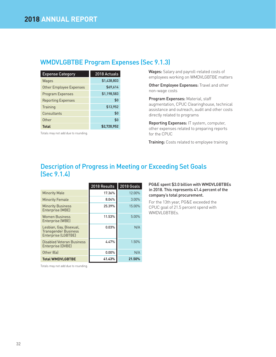## WMDVLGBTBE Program Expenses (Sec 9.1.3)

| <b>Expense Category</b>   | 2018 Actuals |
|---------------------------|--------------|
| Wages                     | \$1,438,803  |
| Other Employee Expenses   | \$69,614     |
| <b>Program Expenses</b>   | \$1,198,583  |
| <b>Reporting Expenses</b> | \$0          |
| Training                  | \$13,952     |
| Consultants               | \$0          |
| Other                     | \$0          |
| <b>Total</b>              | \$2,720,952  |

Totals may not add due to rounding.

Wages: Salary and payroll-related costs of employees working on WMDVLGBTBE matters

Other Employee Expenses: Travel and other non-wage costs

Program Expenses: Material, staff augmentation, CPUC Clearinghouse, technical assistance and outreach, audit and other costs directly related to programs

Reporting Expenses: IT system, computer, other expenses related to preparing reports for the CPUC

Training: Costs related to employee training

## Description of Progress in Meeting or Exceeding Set Goals (Sec 9.1.4)

|                                                                               | 2018 Results | 2018 Goals |
|-------------------------------------------------------------------------------|--------------|------------|
| <b>Minority Male</b>                                                          | 17.36%       | 12.00%     |
| <b>Minority Female</b>                                                        | 8.04%        | $3.00\%$   |
| <b>Minority Business</b><br>Enterprise (MBE)                                  | 25.39%       | 15.00%     |
| <b>Women Business</b><br>Enterprise (WBE)                                     | 11.53%       | 5.00%      |
| Lesbian, Gay, Bisexual,<br><b>Transgender Business</b><br>Enterprise (LGBTBE) | 0.03%        | N/A        |
| Disabled Veteran Business<br>Enterprise (DVBE)                                | 4.47%        | 1.50%      |
| Other 8(a)                                                                    | 0.00%        | N/A        |
| <b>Total WMDVLGBTBE</b>                                                       | 41.43%       | 21.50%     |

### PG&E spent \$3.0 billion with WMDVLGBTBEs in 2018. This represents 41.4 percent of the company's total procurement.

For the 13th year, PG&E exceeded the CPUC goal of 21.5 percent spend with WMDVLGBTBEs.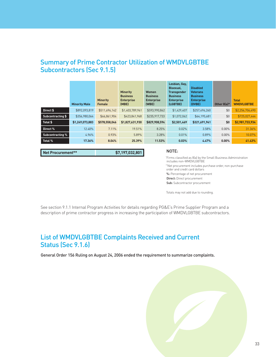## Summary of Prime Contractor Utilization of WMDVLGBTBE Subcontractors (Sec 9.1.5)

|                          | <b>Minority Male</b> | <b>Minority</b><br><b>Female</b> | <b>Minority</b><br><b>Business</b><br><b>Enterprise</b><br>(MBE) | <b>Women</b><br><b>Business</b><br><b>Enterprise</b><br>(WBE) | Lesbian, Gay,<br>Bisexual,<br><b>Transgender</b><br><b>Business</b><br><b>Enterprise</b><br>(LGBTBE) | <b>Disabled</b><br><b>Veterans</b><br><b>Business</b><br><b>Enterprise</b><br>(DVBE) | Other 8(a)* | <b>Total</b><br><b>WMDVLGBTBE</b> |
|--------------------------|----------------------|----------------------------------|------------------------------------------------------------------|---------------------------------------------------------------|------------------------------------------------------------------------------------------------------|--------------------------------------------------------------------------------------|-------------|-----------------------------------|
| Direct \$                | \$892,093,819        | \$511,696,142                    | \$1,403,789,961                                                  | \$593,990,862                                                 | \$1,429,407                                                                                          | \$257,496,260                                                                        | \$0         | \$2,256,706,490                   |
| <b>Subcontracting \$</b> | \$356,980,064        | \$66,861,904                     | \$423,841,968                                                    | \$235,917,733                                                 | \$1,072,062                                                                                          | \$64,195,681                                                                         | \$0         | \$725,027,444                     |
| Total \$                 | \$1,249,073,883      | \$578,558,046                    | \$1,827,631,930                                                  | \$829,908,594                                                 | \$2,501,469                                                                                          | \$321,691,941                                                                        | \$0         | \$2,981,733,934                   |
| Direct %                 | 12.40%               | 7.11%                            | 19.51%                                                           | 8.25%                                                         | 0.02%                                                                                                | 3.58%                                                                                | $0.00\%$    | 31.36%                            |
| <b>Subcontracting %</b>  | 4.96%                | 0.93%                            | 5.89%                                                            | 3.28%                                                         | 0.01%                                                                                                | 0.89%                                                                                | $0.00\%$    | 10.07%                            |
| Total %                  | 17.36%               | 8.04%                            | 25.39%                                                           | 11.53%                                                        | 0.03%                                                                                                | 4.47%                                                                                | $0.00\%$    | 41.43%                            |

**Net Procurement\*\* \$7,197,032,801**

### NOTE:

\* Firms classified as 8(a) by the Small Business Administration includes non-WMDVLGBTBE \*\*Net procurement includes purchase order, non-purchase order and credit card dollars %: Percentage of net procurement Direct: Direct procurement Sub: Subcontractor procurement

Totals may not add due to rounding.

See section 9.1.1 Internal Program Activities for details regarding PG&E's Prime Supplier Program and a description of prime contractor progress in increasing the participation of WMDVLGBTBE subcontractors.

## List of WMDVLGBTBE Complaints Received and Current Status (Sec 9.1.6)

General Order 156 Ruling on August 24, 2006 ended the requirement to summarize complaints.

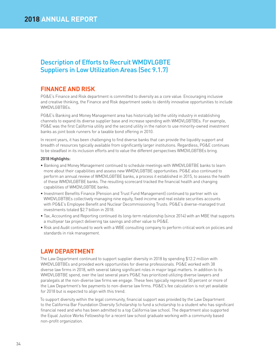## Description of Efforts to Recruit WMDVLGBTE Suppliers in Low Utilization Areas (Sec 9.1.7)

## **FINANCE AND RISK**

PG&E's Finance and Risk department is committed to diversity as a core value. Encouraging inclusive and creative thinking, the Finance and Risk department seeks to identify innovative opportunities to include WMDVLGBTBEs.

PG&E's Banking and Money Management area has historically led the utility industry in establishing channels to expand its diverse supplier base and increase spending with WMDVLGBTBEs. For example, PG&E was the first California utility and the second utility in the nation to use minority-owned investment banks as joint book runners for a taxable bond offering in 2010.

In recent years, it has been challenging to find diverse banks that can provide the liquidity support and breadth of resources typically available from significantly larger institutions. Regardless, PG&E continues to be steadfast in its inclusion efforts and to value the different perspectives WMDVLGBTBEs bring.

### 2018 Highlights:

- Banking and Money Management continued to schedule meetings with WMDVLGBTBE banks to learn more about their capabilities and assess new WMDVLGBTBE opportunities. PG&E also continued to perform an annual review of WMDVLGBTBE banks, a process it established in 2015, to assess the health of these WMDVLGBTBE banks. The resulting scorecard tracked the financial health and changing capabilities of WMDVLGBTBE banks.
- Investment Benefits Finance (Pension and Trust Fund Management) continued to partner with six WMDVLGBTBEs collectively managing nine equity, fixed income and real estate securities accounts with PG&E's Employee Benefit and Nuclear Decommissioning Trusts. PG&E's diverse-managed trust investments totaled \$2.7 billion in 2018.
- Tax, Accounting and Reporting continued its long-term relationship (since 2014) with an MBE that supports a multiyear tax project delivering tax savings and other value to PG&E.
- Risk and Audit continued to work with a WBE consulting company to perform critical work on policies and standards in risk management.

## **LAW DEPARTMENT**

The Law Department continued to support supplier diversity in 2018 by spending \$12.2 million with WMDVLGBTBEs and provided work opportunities for diverse professionals. PG&E worked with 38 diverse law firms in 2018, with several taking significant roles in major legal matters. In addition to its WMDVLGBTBE spend, over the last several years PG&E has prioritized utilizing diverse lawyers and paralegals at the non-diverse law firms we engage. These fees typically represent 50 percent or more of the Law Department's fee payments to non-diverse law firms. PG&E's fee calculation is not yet available for 2018 but is expected to align with this trend.

To support diversity within the legal community, financial support was provided by the Law Department to the California Bar Foundation Diversity Scholarship to fund a scholarship to a student who has significant financial need and who has been admitted to a top California law school. The department also supported the Equal Justice Works Fellowship for a recent law school graduate working with a community based non-profit organization.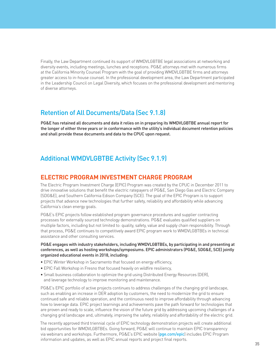Finally, the Law Department continued its support of WMDVLGBTBE legal associations at networking and diversity events, including meetings, lunches and receptions. PG&E attorneys met with numerous firms at the California Minority Counsel Program with the goal of providing WMDVLGBTBE firms and attorneys greater access to in-house counsel. In the professional development area, the Law Department participated in the Leadership Council on Legal Diversity, which focuses on the professional development and mentoring of diverse attorneys.

## Retention of All Documents/Data (Sec 9.1.8)

PG&E has retained all documents and data it relies on in preparing its WMDVLGBTBE annual report for the longer of either three years or in conformance with the utility's individual document retention policies and shall provide these documents and data to the CPUC upon request.

## Additional WMDVLGBTBE Activity (Sec 9.1.9)

## **ELECTRIC PROGRAM INVESTMENT CHARGE PROGRAM**

The Electric Program Investment Charge (EPIC) Program was created by the CPUC in December 2011 to drive innovative solutions that benefit the electric ratepayers of PG&E, San Diego Gas and Electric Company (SDG&E), and Southern California Edison Company (SCE). The goal of the EPIC Program is to support projects that advance new technologies that further safety, reliability and affordability while advancing California's clean energy goals.

PG&E's EPIC projects follow established program governance procedures and supplier contracting processes for externally sourced technology demonstrations. PG&E evaluates qualified suppliers on multiple factors, including but not limited to: quality, safety, value and supply chain responsibility. Through that process, PG&E continues to competitively award EPIC program work to WMDVLGBTBEs in technical assistance and other consulting services.

### PG&E engages with industry stakeholders, including WMDVLGBTBEs, by participating in and presenting at conferences, as well as hosting workshops/symposiums. EPIC administrators (PG&E, SDG&E, SCE) jointly organized educational events in 2018, including:

- EPIC Winter Workshop in Sacramento that focused on energy efficiency,
- EPIC Fall Workshop in Fresno that focused heavily on wildfire resiliency,
- Small business collaboration to optimize the grid using Distributed Energy Resources (DER), and leverage technology to improve monitoring and maintenance.

PG&E's EPIC portfolio of active projects continues to address challenges of the changing grid landscape, such as enabling an increase in DER adoption by customers, the need to modernize the grid to ensure continued safe and reliable operation, and the continuous need to improve affordability through advancing how to leverage data. EPIC project learnings and achievements pave the path forward for technologies that are proven and ready to scale, influence the vision of the future grid by addressing upcoming challenges of a changing grid landscape and, ultimately, improving the safety, reliability and affordability of the electric grid.

The recently approved third triennial cycle of EPIC technology demonstration projects will create additional bid opportunities for WMDVLGBTBEs. Going forward, PG&E will continue to maintain EPIC transparency via webinars and workshops. Furthermore, PG&E's EPIC website (pge.com/epic) includes EPIC Program information and updates, as well as EPIC annual reports and project final reports.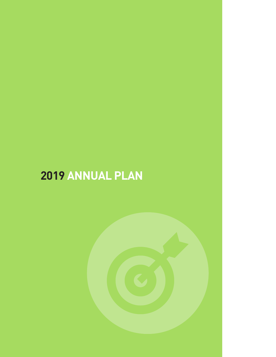# **2019 ANNUAL PLAN**

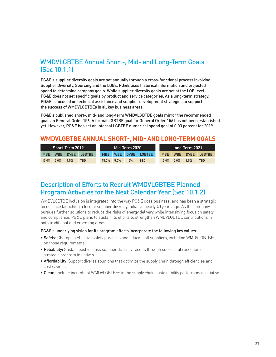## WMDVLGBTBE Annual Short-, Mid- and Long-Term Goals (Sec 10.1.1)

PG&E's supplier diversity goals are set annually through a cross-functional process involving Supplier Diversity, Sourcing and the LOBs. PG&E uses historical information and projected spend to determine company goals. While supplier diversity goals are set at the LOB level, PG&E does not set specific goals by product and service categories. As a long-term strategy, PG&E is focused on technical assistance and supplier development strategies to support the success of WMDVLGBTBEs in all key business areas.

PG&E's published short-, mid- and long-term WMDVLGBTBE goals mirror the recommended goals in General Order 156. A formal LGBTBE goal for General Order 156 has not been established yet. However, PG&E has set an internal LGBTBE numerical spend goal of 0.03 percent for 2019.

## **WMDVLGBTBE ANNUAL SHORT-, MID- AND LONG-TERM GOALS**

|            | Mid-Term 2020<br>Short-Term 2019 |             |            |  |       |         |      |             | Long-Term 2021 |            |             |               |  |  |
|------------|----------------------------------|-------------|------------|--|-------|---------|------|-------------|----------------|------------|-------------|---------------|--|--|
| <b>MBE</b> | WBE                              | <b>DVBE</b> | LGBTBE     |  |       | MBE WBE |      | DVBE LGBTBE | <b>MBE</b>     | <b>WBE</b> | <b>DVBE</b> | <b>LGBTBE</b> |  |  |
| 15.0%      | 5.0%                             | 1.5%        | <b>TBD</b> |  | 15.0% | 5.0%    | 1.5% | <b>TBD</b>  | 15.0%          | 5.0%       | 1.5%        | <b>TBD</b>    |  |  |

## Description of Efforts to Recruit WMDVLGBTBE Planned Program Activities for the Next Calendar Year (Sec 10.1.2)

WMDVLGBTBE inclusion is integrated into the way PG&E does business, and has been a strategic focus since launching a formal supplier diversity initiative nearly 40 years ago. As the company pursues further solutions to reduce the risks of energy delivery while intensifying focus on safety and compliance, PG&E plans to sustain its efforts to strengthen WMDVLGBTBE contributions in both traditional and emerging areas.

### PG&E's underlying vision for its program efforts incorporate the following key values:

- Safety: Champion effective safety practices and educate all suppliers, including WMDVLGBTBEs, on those requirements
- Reliability: Sustain best in class supplier diversity results through successful execution of strategic program initiatives
- Affordability: Support diverse solutions that optimize the supply chain through efficiencies and cost savings
- Clean: Include incumbent WMDVLGBTBEs in the supply chain sustainability performance initiative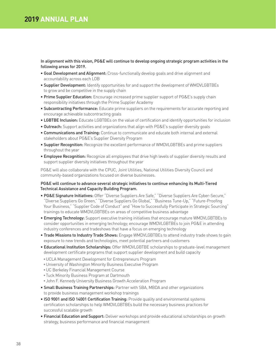## **2019 ANNUAL PLAN**

In alignment with this vision, PG&E will continue to develop ongoing strategic program activities in the following areas for 2019.

- Goal Development and Alignment: Cross-functionally develop goals and drive alignment and accountability across each LOB
- Supplier Development: Identify opportunities for and support the development of WMDVLGBTBEs to grow and be competitive in the supply chain
- **Prime Supplier Education:** Encourage increased prime supplier support of PG&E's supply chain responsibility initiatives through the Prime Supplier Academy
- Subcontracting Performance: Educate prime suppliers on the requirements for accurate reporting and encourage achievable subcontracting goals
- LGBTBE Inclusion: Educate LGBTBEs on the value of certification and identify opportunities for inclusion
- Outreach: Support activities and organizations that align with PG&E's supplier diversity goals
- Communications and Training: Continue to communicate and educate both internal and external stakeholders about PG&E's Supplier Diversity Program
- **Supplier Recognition:** Recognize the excellent performance of WMDVLGBTBEs and prime suppliers throughout the year
- Employee Recognition: Recognize all employees that drive high levels of supplier diversity results and support supplier diversity initiatives throughout the year

PG&E will also collaborate with the CPUC, Joint Utilities, National Utilities Diversity Council and community-based organizations focused on diverse businesses.

### PG&E will continue to advance several strategic initiatives to continue enhancing its Multi-Tiered Technical Assistance and Capacity Building Program.

- PG&E Signature Initiatives: Offer "Diverse Suppliers Are Safe," "Diverse Suppliers Are Cyber-Secure," "Diverse Suppliers Go Green," "Diverse Suppliers Go Global," "Business Tune-Up," "Future-Proofing Your Business," "Supplier Code of Conduct" and "How to Successfully Participate in Strategic Sourcing" trainings to educate WMDVLGBTBEs on areas of competitive business advantage
- Emerging Technology: Support executive training initiatives that encourage mature WMDVLGBTBEs to consider opportunities in emerging technology; encourage WMDVLGBTBEs to join PG&E in attending industry conferences and tradeshows that have a focus on emerging technology
- Trade Missions to Industry Trade Shows: Engage WMDVLGBTBEs to attend industry trade shows to gain exposure to new trends and technologies, meet potential partners and customers
- Educational Institution Scholarships: Offer WMDVLGBTBE scholarships to graduate-level management development certificate programs that support supplier development and build capacity
- •UCLA Management Development for Entrepreneurs Program
- •University of Washington Minority Business Executive Program
- •UC Berkeley Financial Management Course
- •Tuck Minority Business Program at Dartmouth
- •John F. Kennedy University Business Growth Acceleration Program
- Small Business Training Partnerships: Partner with SBA, MBDA and other organizations to provide business management workshop trainings
- ISO 9001 and ISO 14001 Certification Training: Provide quality and environmental systems certification scholarships to help WMDVLGBTBEs build the necessary business practices for successful scalable growth
- Financial Education and Support: Deliver workshops and provide educational scholarships on growth strategy, business performance and financial management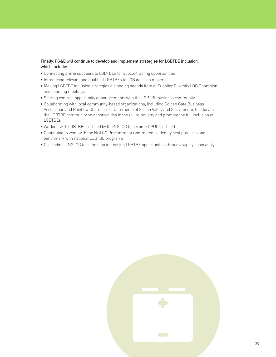### Finally, PG&E will continue to develop and implement strategies for LGBTBE inclusion, which include:

- Connecting prime suppliers to LGBTBEs for subcontracting opportunities
- Introducing relevant and qualified LGBTBEs to LOB decision makers
- Making LGBTBE inclusion strategies a standing agenda item at Supplier Diversity LOB Champion and sourcing meetings
- Sharing contract opportunity announcements with the LGBTBE business community
- Collaborating with local community-based organizations, including Golden Gate Business Association and Rainbow Chambers of Commerce of Silicon Valley and Sacramento, to educate the LGBTBE community on opportunities in the utility industry and promote the full inclusion of LGBTBEs
- Working with LGBTBEs certified by the NGLCC to become CPUC-certified
- Continuing to work with the NGLCC Procurement Committee to identify best practices and benchmark with national LGBTBE programs
- Co-leading a NGLCC task force on increasing LGBTBE opportunities through supply chain analysis

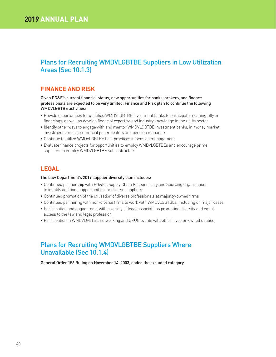## Plans for Recruiting WMDVLGBTBE Suppliers in Low Utilization Areas (Sec 10.1.3)

## **FINANCE AND RISK**

Given PG&E's current financial status, new opportunities for banks, brokers, and finance professionals are expected to be very limited. Finance and Risk plan to continue the following WMDVLGBTBE activities:

- Provide opportunities for qualified WMDVLGBTBE investment banks to participate meaningfully in financings, as well as develop financial expertise and industry knowledge in the utility sector
- Identify other ways to engage with and mentor WMDVLGBTBE investment banks, in money market investments or as commercial paper dealers and pension managers
- Continue to utilize WMDVLGBTBE best practices in pension management
- Evaluate finance projects for opportunities to employ WMDVLGBTBEs and encourage prime suppliers to employ WMDVLGBTBE subcontractors

## **LEGAL**

### The Law Department's 2019 supplier diversity plan includes:

- Continued partnership with PG&E's Supply Chain Responsibility and Sourcing organizations to identify additional opportunities for diverse suppliers
- Continued promotion of the utilization of diverse professionals at majority-owned firms
- Continued partnering with non-diverse firms to work with WMDVLGBTBEs, including on major cases
- Participation and engagement with a variety of legal associations promoting diversity and equal access to the law and legal profession
- Participation in WMDVLGBTBE networking and CPUC events with other investor-owned utilities

## Plans for Recruiting WMDVLGBTBE Suppliers Where Unavailable (Sec 10.1.4)

General Order 156 Ruling on November 14, 2003, ended the excluded category.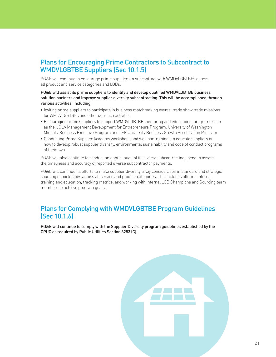## Plans for Encouraging Prime Contractors to Subcontract to WMDVLGBTBE Suppliers (Sec 10.1.5)

PG&E will continue to encourage prime suppliers to subcontract with WMDVLGBTBEs across all product and service categories and LOBs.

PG&E will assist its prime suppliers to identify and develop qualified WMDVLGBTBE business solution partners and improve supplier diversity subcontracting. This will be accomplished through various activities, including:

- Inviting prime suppliers to participate in business matchmaking events, trade show trade missions for WMDVLGBTBEs and other outreach activities
- Encouraging prime suppliers to support WMDVLGBTBE mentoring and educational programs such as the UCLA Management Development for Entrepreneurs Program, University of Washington Minority Business Executive Program and JFK University Business Growth Acceleration Program
- Conducting Prime Supplier Academy workshops and webinar trainings to educate suppliers on how to develop robust supplier diversity, environmental sustainability and code of conduct programs of their own

PG&E will also continue to conduct an annual audit of its diverse subcontracting spend to assess the timeliness and accuracy of reported diverse subcontractor payments.

PG&E will continue its efforts to make supplier diversity a key consideration in standard and strategic sourcing opportunities across all service and product categories. This includes offering internal training and education, tracking metrics, and working with internal LOB Champions and Sourcing team members to achieve program goals.

## Plans for Complying with WMDVLGBTBE Program Guidelines (Sec 10.1.6)

PG&E will continue to comply with the Supplier Diversity program guidelines established by the CPUC as required by Public Utilities Section 8283 (C).

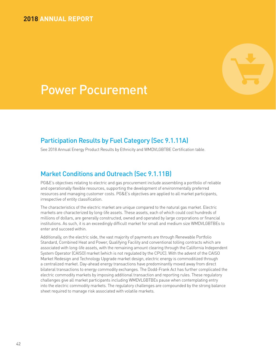## **2018 ANNUAL REPORT**



## Power Pocurement

## Participation Results by Fuel Category (Sec 9.1.11A)

See 2018 Annual Energy Product Results by Ethnicity and WMDVLGBTBE Certification table.

## Market Conditions and Outreach (Sec 9.1.11B)

PG&E's objectives relating to electric and gas procurement include assembling a portfolio of reliable and operationally flexible resources, supporting the development of environmentally preferred resources and managing customer costs. PG&E's objectives are applied to all market participants, irrespective of entity classification.

The characteristics of the electric market are unique compared to the natural gas market. Electric markets are characterized by long-life assets. These assets, each of which could cost hundreds of millions of dollars, are generally constructed, owned and operated by large corporations or financial institutions. As such, it is an exceedingly difficult market for small and medium size WMDVLGBTBEs to enter and succeed within.

Additionally, on the electric side, the vast majority of payments are through Renewable Portfolio Standard, Combined Heat and Power, Qualifying Facility and conventional tolling contracts which are associated with long-life assets, with the remaining amount clearing through the California Independent System Operator (CAISO) market (which is not regulated by the CPUC). With the advent of the CAISO Market Redesign and Technology Upgrade market design, electric energy is commoditized through a centralized market. Day-ahead energy transactions have predominantly moved away from direct bilateral transactions to energy commodity exchanges. The Dodd-Frank Act has further complicated the electric commodity markets by imposing additional transaction and reporting rules. These regulatory challenges give all market participants including WMDVLGBTBEs pause when contemplating entry into the electric commodity markets. The regulatory challenges are compounded by the strong balance sheet required to manage risk associated with volatile markets.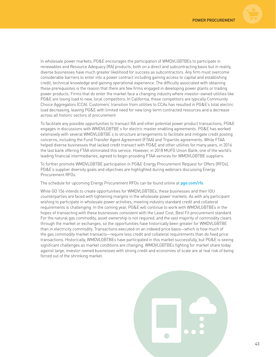

In wholesale power markets, PG&E encourages the participation of WMDVLGBTBEs to participate in renewables and Resource Adequacy (RA) products, both on a direct and subcontracting basis but in reality, diverse businesses have much greater likelihood for success as subcontractors. Any firm must overcome considerable barriers to enter into a power contract including gaining access to capital and establishing credit, technical knowledge and gaining operational experience. The difficulty associated with obtaining these prerequisites is the reason that there are few firms engaged in developing power plants or trading power products. Firms that do enter the market face a changing industry where investor-owned utilities like PG&E are losing load to new, local competitors. In California, these competitors are typically Community Choice Aggregators (CCA). Customers' transition from utilities to CCAs has resulted in PG&E's total electric load decreasing, leaving PG&E with limited need for new long-term contracted resources and a decrease across all historic sectors of procurement

To facilitate any possible opportunities to transact RA and other potential power product transactions, PG&E engages in discussions with WMDVLGBTBE s for electric master enabling agreements. PG&E has worked extensively with several WMDVLGBTBE s to structure arrangements to facilitate and mitigate credit posting concerns, including the Fund Transfer Agent Agreement (FTAA) and Tripartite agreements. While FTAA helped diverse businesses that lacked credit transact with PG&E and other utilities for many years, in 2016 the last bank offering FTAA eliminated this service. However, in 2018 MUFG Union Bank, one of the world's leading financial intermediaries, agreed to begin providing FTAA services for WMDVLGBTBE suppliers.

To further promote WMDVLGBTBE participation in PG&E Energy Procurement Request for Offers (RFOs), PG&E's supplier diversity goals and objectives are highlighted during webinars discussing Energy Procurement RFOs.

The schedule for upcoming Energy Procurement RFOs can be found online at pge.com/rfo.

While GO 156 intends to create opportunities for WMDVLGBTBEs, these businesses and their IOU counterparties are faced with tightening margins in the wholesale power markets. As with any participant wishing to participate in wholesale power activities, meeting industry standard credit and collateral requirements is challenging. In the coming year, PG&E will continue to work with WMDVLGBTBEs in the hopes of transacting with these businesses consistent with the Least Cost, Best Fit procurement standard. For the natural gas commodity, asset ownership is not required, and the vast majority of commodity clears through the market or exchanges, so the opportunities have historically been greater for WMDVLGBTBE than in electricity commodity. Transactions executed on an indexed price basis—which is how much of the gas commodity market transacts—require less credit and collateral requirements than do fixed price transactions. Historically, WMDVLGBTBEs have participated in this market successfully, but PG&E is seeing significant challenges as market conditions are changing. WMDVLGBTBEs fighting for market share today against large, investor-owned businesses with strong credit and economies of scale are at real risk of being forced out of the shrinking market.

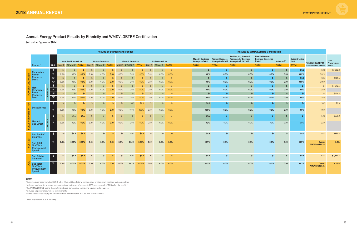## Annual Energy Product Results by Ethnicity and WMDVLGBTBE Certification

(All dollar figures in \$MM)

|                   |                                                        |                                                          | <b>Results by Ethnicity and Gender</b> |                                              |       |                  |                                              |              |                       |                                         |              |                  |                                             |                       | <b>Results by WMDVLGBTBE Certification</b>                          |                                                                  |                                                                                                      |                                                                                 |                                |                                                       |                                                                 |                                      |
|-------------------|--------------------------------------------------------|----------------------------------------------------------|----------------------------------------|----------------------------------------------|-------|------------------|----------------------------------------------|--------------|-----------------------|-----------------------------------------|--------------|------------------|---------------------------------------------|-----------------------|---------------------------------------------------------------------|------------------------------------------------------------------|------------------------------------------------------------------------------------------------------|---------------------------------------------------------------------------------|--------------------------------|-------------------------------------------------------|-----------------------------------------------------------------|--------------------------------------|
|                   | Product <sup>1</sup>                                   | Unit                                                     |                                        | <b>Asian Pacific American</b><br>MALE FEMALE |       |                  | <b>African American</b><br>TOTAL MALE FEMALE | <b>TOTAL</b> |                       | <b>Hispanic American</b><br>MALE FEMALE | <b>TOTAL</b> |                  | <b>Native American</b><br>MALE FEMALE TOTAL |                       | <b>Minority Business</b><br><b>Enterprise (MBE)</b><br><b>TOTAL</b> | <b>Women Business</b><br><b>Enterprise (WBE)</b><br><b>TOTAL</b> | Lesbian, Gay, Bisexual,<br><b>Transgender Business</b><br><b>Enterprise (LGBTBE)</b><br><b>TOTAL</b> | <b>Disabled Veteran</b><br><b>Business Enterprise</b><br>(DVBE)<br><b>TOTAL</b> | Other $8(a)^5$<br><b>TOTAL</b> | <b>Subcontracting</b><br><b>Total</b><br><b>TOTAL</b> | <b>Total WMDVLGBTBE</b><br><b>Procurement Spend<sup>3</sup></b> | <b>Total</b><br>Procurement<br>Spend |
|                   |                                                        | $\frac{1}{2}$                                            | $\mathsf{S}$ -                         | $$-$                                         | $$-$  | $\frac{2}{3}$    | $$-$                                         | \$-          | $\frac{4}{5}$         | $$-$                                    | \$.          | $\frac{4}{5}$    | $$-$                                        | $\oint$ -             | $$-$                                                                | $$-$                                                             | $$-$                                                                                                 | $$-$                                                                            | $$ -$                          | \$0.5                                                 | \$0.5                                                           | \$2,262.8                            |
|                   | Renewable<br>Power                                     | $\%$                                                     | 0.0%                                   | 0.0%                                         | 0.0%  | 0.0%             | 0.0%                                         | $0.0\%$      | 0.0%                  | $0.0\%$                                 | 0.0%         | 0.0%             | $0.0\%$                                     | 0.0%                  | 0.0%                                                                | 0.0%                                                             | 0.0%                                                                                                 | $0.0\%$                                                                         | 0.0%                           | 0.02%                                                 | 0.02%                                                           |                                      |
|                   | Products<br><b>Direct</b>                              | $\frac{2}{3}$ <sup>2</sup>                               | $\mathsf{S}$ -                         | $\frac{2}{2}$                                | \$-   | $\mathfrak{S}$ - | $\frac{4}{2}$                                | \$-          | - \$                  | $\frac{2}{2}$                           | \$.          | $\mathfrak{S}$ - | $$-$                                        | $\frac{4}{5}$         | $$-$                                                                | $$-$                                                             | $$-$                                                                                                 | $$-$                                                                            | $$ -$                          | \$0.4                                                 | \$0.4                                                           | \$529.6                              |
|                   |                                                        | $\frac{9}{6}$ <sup>2</sup>                               | $0.0\%$                                | 0.0%                                         | 0.0%  | 0.0%             | 0.0%                                         | 0.0%         | 0.0%                  | $0.0\%$                                 | 0.0%         | 0.0%             | 0.0%                                        | 0.0%                  | 0.0%                                                                | 0.0%                                                             | 0.0%                                                                                                 | 0.0%                                                                            | $0.0\%$                        | 0.08%                                                 | 0.08%                                                           |                                      |
|                   | Non-                                                   | $\frac{1}{2}$                                            | $$-$                                   | $\mathsf{S}$ -                               | \$-   | $\mathfrak{S}$ - | $$-$                                         | \$-          | $\oint$ -             | $$-$                                    | $$-$         | $\mathsf{S}$ -   | $$-$                                        | $$-$                  | $\mathsf{S}\text{-}$                                                | $$-$                                                             | \$-                                                                                                  | $$-$                                                                            | $$ -$                          | -\$                                                   | $\frac{4}{5}$                                                   | \$1,012.6                            |
|                   | Renewable<br>Power                                     | $\%$                                                     | 0.0%                                   | 0.0%                                         | 0.0%  | 0.0%             | 0.0%                                         | 0.0%         | 0.0%                  | $0.0\%$                                 | 0.0%         | 0.0%             | 0.0%                                        | 0.0%                  | 0.0%                                                                | 0.0%                                                             | 0.0%                                                                                                 | 0.0%                                                                            | 0.0%                           | 0.0%                                                  | 0.0%                                                            |                                      |
|                   | Products                                               | $\frac{4}{5}$ <sup>2</sup><br>$\frac{9}{6}$ <sup>2</sup> | $\frac{4}{2}$<br>0.0%                  | $\mathsf{S}$ -<br>0.0%                       | \$-   | $\mathsf{S}$ -   | $\frac{4}{2}$<br>$0.0\%$                     | -£           | $\frac{4}{5}$<br>0.0% | $$-$<br>$0.0\%$                         | \$.          | - \$             | $$-$<br>$0.0\%$                             | $\frac{4}{5}$<br>0.0% | $$-$<br>0.0%                                                        | $$-$<br>0.0%                                                     | $$-$<br>0.0%                                                                                         | $$-$<br>0.0%                                                                    | $$ -$<br>$0.0\%$               | \$-<br>0.0%                                           | $\mathsf{S}$ -<br>0.0%                                          | \$156.6                              |
|                   | <b>Direct</b>                                          |                                                          |                                        |                                              | 0.0%  | 0.0%             |                                              | 0.0%         |                       |                                         | 0.0%         | 0.0%             |                                             |                       |                                                                     |                                                                  |                                                                                                      |                                                                                 |                                |                                                       |                                                                 |                                      |
|                   | <b>Diesel Direct</b>                                   | $\frac{1}{2}$                                            | $$-$                                   | $\frac{4}{5}$                                | \$-   | $\mathsf{S}$     | $$-$                                         | \$.          | \$.                   | \$0.3                                   | \$0.3        | $\mathsf{S}$     | $$-$                                        | $\frac{4}{5}$         | \$0.3                                                               | \$-                                                              | $$-$                                                                                                 | $$-$                                                                            | $$ -$                          |                                                       | \$0.3                                                           | \$0.3                                |
| <b>GENERATION</b> |                                                        | $\%$                                                     | 0.0%                                   | 0.0%                                         | 0.0%  | 0.0%             | 0.0%                                         | 0.0%         | 0.0%                  | 100%                                    | 100%         | 0.0%             | 0.0%                                        | 0.0%                  | 100%                                                                | $0.0\%$                                                          | $0.0\%$                                                                                              | $0.0\%$                                                                         | 0.0%                           | 0.0%                                                  | 100%                                                            |                                      |
| $FOR$             |                                                        | $\frac{1}{2}$                                            | $$-$                                   | \$0.5                                        | \$0.5 | $\mathfrak{S}$   | $$-$                                         | \$-          | $\mathfrak{S}$        | $$-$                                    | $\mathsf{S}$ | $\mathsf{S}$     | $\frac{4}{5}$                               | $\oint$ -             | \$0.5                                                               | $$-$                                                             | \$-                                                                                                  | $$-$                                                                            | $$ -$                          |                                                       | \$0.5                                                           | \$286.8                              |
|                   | Natural<br><b>Gas Direct</b>                           | $\%$                                                     | 0.0%                                   | 0.2%                                         | 0.2%  | 0.0%             | 0.0%                                         | 0.0%         | 0.0%                  | 0.0%                                    | 0.0%         | 0.0%             | $0.0\%$                                     | 0.0%                  | 0.2%                                                                | $0.0\%$                                                          | 0.0%                                                                                                 | 0.0%                                                                            | 0.0%                           | 0.0%                                                  | 0.2%                                                            |                                      |
| $\leftarrow$      | <b>Sub Total of</b><br>Columns <sup>2</sup>            | $\frac{1}{2}$                                            | \$-                                    | \$0.5                                        | \$0.5 | \$-              | $$-$                                         | $S-$         | \$-                   | \$0.3                                   | \$0.3\$      | \$-              | $$-$                                        | $$-$                  | \$0.9                                                               | $$-$                                                             | $$-$                                                                                                 | $$-$                                                                            | $$-$                           | \$0.4                                                 | \$1.3                                                           | \$973.4                              |
|                   | <b>Sub Total</b><br>% of Total<br>Procurement<br>Spend | $\%$                                                     | 0.0%                                   | 0.05%                                        | 0.05% | 0.0%             | 0.0%                                         | 0.0%         | 0.0%                  | 0.04%                                   | 0.04%        | 0.0%             | 0.0%                                        | 0.0%                  | 0.09%                                                               | 0.0%                                                             | 0.0%                                                                                                 | 0.0%                                                                            | 0.0%                           | 0.05%                                                 | <b>Overall</b><br><b>WMDVLGBTBE %:</b>                          | 0.1%                                 |
|                   | <b>Sub Total of</b><br>Columns <sup>4</sup>            | $\mathsf{S}$                                             | \$-                                    | \$0.5                                        | \$0.5 | -\$              | $$-$                                         | \$-          | \$-                   | \$0.3                                   | \$0.3        | -\$              | \$-                                         | $$-$                  | \$0.9                                                               | $$-$                                                             | $$-$                                                                                                 | $$-$                                                                            | $$-$                           | \$0.5                                                 | \$1.3                                                           | \$3,562.6                            |
|                   | <b>Sub Total</b><br>% of Total<br>Procurement<br>Spend | %                                                        | 0.0%                                   | 0.01%                                        | 0.01% | 0.0%             | 0.0%                                         | 0.0%         | 0.0%                  | 0.01%                                   | 0.01%        | 0.0%             | 0.0%                                        | 0.0%                  | 0.02%                                                               | 0.0%                                                             | 0.0%                                                                                                 | 0.0%                                                                            | 0.0%                           | 0.01%                                                 | <b>Overall</b><br><b>WMDVLGBTBE %:</b>                          | 0.04%                                |

#### NOTES:

 Excludes purchases from the CAISO, other IOUs, utilities, federal entities, state entities, municipalities and cooperatives Includes only long-term power procurement commitments after June 6, 2011, or as a result of RFOs after June 6, 2011 Total WMDVLGBTBE spend does not include pre-commerical online date subcontracting values Includes all power procurement commitments

5 Firms classified as 8(a) by the Small Business Administration include non-WMDVLGBTBE

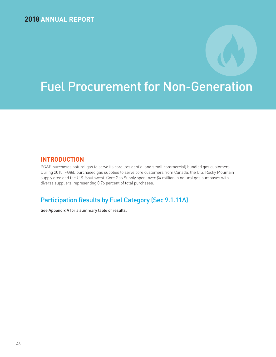## Fuel Procurement for Non-Generation

## **INTRODUCTION**

PG&E purchases natural gas to serve its core (residential and small commercial) bundled gas customers. During 2018, PG&E purchased gas supplies to serve core customers from Canada, the U.S. Rocky Mountain supply area and the U.S. Southwest. Core Gas Supply spent over \$4 million in natural gas purchases with diverse suppliers, representing 0.76 percent of total purchases.

## Participation Results by Fuel Category (Sec 9.1.11A)

See Appendix A for a summary table of results.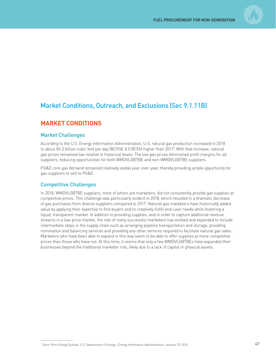

## Market Conditions, Outreach, and Exclusions (Sec 9.1.11B)

## **MARKET CONDITIONS**

### Market Challenges

According to the U.S. Energy Information Administration, U.S. natural gas production increased in 2018 to about 83.3 billion cubic feet per day (BCF/d), 8.5 BCF/d higher than 2017.' With that increase, natural gas prices remained low relative to historical levels. The low gas prices diminished profit margins for all suppliers, reducing opportunities for both WMDVLGBTBE and non-WMDVLGBTBE suppliers.

PG&E core gas demand remained relatively stable year-over-year, thereby providing ample opportunity for gas suppliers to sell to PG&E.

### Competitive Challenges

In 2018, WMDVLGBTBE suppliers, most of whom are marketers, did not consistently provide gas supplies at competitive prices. This challenge was particularly evident in 2018, which resulted in a dramatic decrease of gas purchases from diverse suppliers compared to 2017. Natural gas marketers have historically added value by applying their expertise to find buyers and to creatively fulfill end-user needs while fostering a liquid, transparent market. In addition to providing supplies, and in order to capture additional revenue streams in a low-price market, the role of many successful marketers has evolved and expanded to include intermediate steps in the supply chain such as arranging pipeline transportation and storage, providing nomination and balancing services and providing any other services required to facilitate natural gas sales. Marketers who have been able to expand in this way seem to be able to offer supplies at more competitive prices than those who have not. At this time, it seems that only a few WMDVLGBTBEs have expanded their businesses beyond the traditional marketer role, likely due to a lack of capital or physical assets.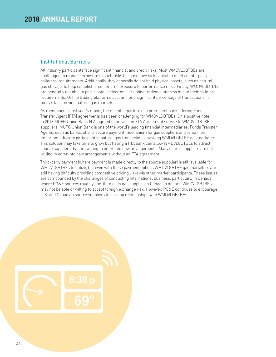## Institutional Barriers

All industry participants face significant financial and credit risks. Most WMDVLGBTBEs are challenged to manage exposure to such risks because they lack capital to meet counterparty collateral requirements. Additionally, they generally do not hold physical assets, such as natural gas storage, to help establish credit or limit exposure to performance risks. Finally, WMDVLGBTBEs are generally not able to participate in electronic or online trading platforms due to their collateral requirements. Online trading platforms account for a significant percentage of transactions in today's fast-moving natural gas markets.

As mentioned in last year's report, the recent departure of a prominent bank offering Funds Transfer Agent (FTA) agreements has been challenging for WMDVLGBTBEs. On a positive note, in 2018 MUFG Union Bank N.A. agreed to provide an FTA Agreement service to WMDVLGBTBE suppliers. MUFG Union Bank is one of the world's leading financial intermediaries. Funds Transfer Agents, such as banks, offer a secure payment mechanism for gas suppliers and remain an important fiduciary participant in natural gas transactions involving WMDVLGBTBE gas marketers. This solution may take time to grow but having a FTA bank can allow WMDVLGBTBEs to attract source suppliers that are willing to enter into new arrangements. Many source suppliers are not willing to enter into new arrangements without an FTA agreement.

Third-party payment (where payment is made directly to the source supplier) is still available for WMDVLGBTBEs to utilize, but even with these payment options WMDVLGBTBE gas marketers are still having difficulty providing competitive pricing vis-a-vis other market participants. These issues are compounded by the challenges of conducting international business, particularly in Canada where PG&E sources roughly one-third of its gas supplies in Canadian dollars. WMDVLGBTBEs may not be able or willing to accept foreign exchange risk. However, PG&E continues to encourage U.S. and Canadian source suppliers to develop relationships with WMDVLGBTBEs.

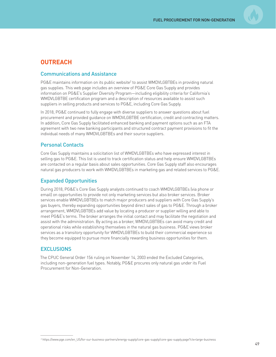

## **OUTREACH**

## Communications and Assistance

PG&E maintains information on its public website<sup>2</sup> to assist WMDVLGBTBEs in providing natural gas supplies. This web page includes an overview of PG&E Core Gas Supply and provides information on PG&E's Supplier Diversity Program—including eligibility criteria for California's WMDVLGBTBE certification program and a description of resources available to assist such suppliers in selling products and services to PG&E, including Core Gas Supply.

In 2018, PG&E continued to fully engage with diverse suppliers to answer questions about fuel procurement and provided guidance on WMDVLGBTBE certification, credit and contracting matters. In addition, Core Gas Supply facilitated enhanced banking and payment options such as an FTA agreement with two new banking participants and structured contract payment provisions to fit the individual needs of many WMDVLGBTBEs and their source suppliers.

## Personal Contacts

Core Gas Supply maintains a solicitation list of WMDVLGBTBEs who have expressed interest in selling gas to PG&E. This list is used to track certification status and help ensure WMDVLGBTBEs are contacted on a regular basis about sales opportunities. Core Gas Supply staff also encourages natural gas producers to work with WMDVLGBTBEs in marketing gas and related services to PG&E.

## Expanded Opportunities

During 2018, PG&E's Core Gas Supply analysts continued to coach WMDVLGBTBEs (via phone or email) on opportunities to provide not only marketing services but also broker services. Broker services enable WMDVLGBTBEs to match major producers and suppliers with Core Gas Supply's gas buyers, thereby expanding opportunities beyond direct sales of gas to PG&E. Through a broker arrangement, WMDVLGBTBEs add value by locating a producer or supplier willing and able to meet PG&E's terms. The broker arranges the initial contact and may facilitate the negotiation and assist with the administration. By acting as a broker, WMDVLGBTBEs can avoid many credit and operational risks while establishing themselves in the natural gas business. PG&E views broker services as a transitory opportunity for WMDVLGBTBEs to build their commercial experience so they become equipped to pursue more financially rewarding business opportunities for them.

## **EXCLUSIONS**

The CPUC General Order 156 ruling on November 14, 2003 ended the Excluded Categories, including non-generation fuel types. Notably, PG&E procures only natural gas under its Fuel Procurement for Non-Generation.

<sup>2</sup> https://www.pge.com/en\_US/for-our-business-partners/energy-supply/core-gas-supply/core-gas-supply.page?ctx=large-business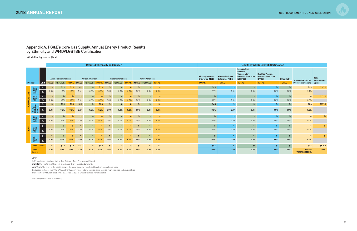## Appendix A. PG&E's Core Gas Supply, Annual Energy Product Results by Ethnicity and WMDVLGBTBE Certification

(All dollar figures in \$MM)

|                      |                           | <b>Results by Ethnicity and Gender</b> |         |                               |              |       |                         |              |                |                          |              |                        |                   | <b>Results by WMDVLGBTBE Certification</b> |                                                     |                                                  |                                                                                                  |                                                                 |                |                         |                                       |         |
|----------------------|---------------------------|----------------------------------------|---------|-------------------------------|--------------|-------|-------------------------|--------------|----------------|--------------------------|--------------|------------------------|-------------------|--------------------------------------------|-----------------------------------------------------|--------------------------------------------------|--------------------------------------------------------------------------------------------------|-----------------------------------------------------------------|----------------|-------------------------|---------------------------------------|---------|
| Product <sup>1</sup> |                           |                                        |         | <b>Asian Pacific American</b> |              |       | <b>African American</b> |              |                | <b>Hispanic American</b> |              | <b>Native American</b> |                   |                                            | <b>Minority Business</b><br><b>Enterprise (MBE)</b> | <b>Women Business</b><br><b>Enterprise (WBE)</b> | Lesbian, Gay,<br><b>Bisexual</b><br><b>Transgender</b><br><b>Business Enterprise</b><br>(LGBTBE) | <b>Disabled Veteran</b><br><b>Business Enterprise</b><br>(DVBE) | Other $8(a)^2$ | <b>Total WMDVLGBTBE</b> | <b>Total</b><br>Procurement           |         |
|                      |                           | Unit                                   |         | MALE FEMALE                   | <b>TOTAL</b> | MALE  | FEMALE                  | <b>TOTAL</b> |                | MALE FEMALE              | <b>TOTAL</b> |                        | MALE FEMALE TOTAL |                                            |                                                     | <b>TOTAL</b>                                     | <b>TOTAL</b>                                                                                     | <b>TOTAL</b>                                                    | <b>TOTAL</b>   | <b>TOTAL</b>            | <b>Procurement Spend</b>              | Spend   |
|                      |                           | $\frac{1}{2}$                          | $$-$    | \$3.1                         | \$3.1        | \$1.3 | $$ -$                   | \$1.3        | $\mathsf{S}$ - | $S-$                     | $S-$         | \$-                    | $$-$              | $\frac{2}{3}$                              |                                                     | \$4.4                                            | $$-$                                                                                             | $$-$                                                            | $$ -$          | $$-$                    | \$4.4                                 | \$207.3 |
|                      | SHORT<br>TERM             | $\%$                                   | $0.0\%$ | 1.5%                          | 1.5%         | 0.6%  | $0.0\%$                 | 0.6%         | 0.0%           | 0.0%                     | $0.0\%$      | 0.0%                   | $0.0\%$           | 0.0%                                       |                                                     | 2.1%                                             | 0.0%                                                                                             | 0.0%                                                            | $0.0\%$        | 0.0%                    | 2.1%                                  |         |
|                      |                           | $\pmb{\$}$                             | $$-$    | $\frac{4}{2}$                 | $$-$         | -\$   | $$ -$                   |              | $S-$           | \$-                      | . ሜ          | \$-                    | $S-$              | $\mathsf{S}$ -                             |                                                     | $$-$                                             | $$-$                                                                                             | $\frac{4}{5}$                                                   | $$-$           | $$-$                    | $\frac{2}{2}$                         | \$372.3 |
|                      | LONG<br>TERM              | $\%$                                   | 0.0%    | 0.0%                          | 0.0%         | 0.0%  | 0.0%                    | $0.0\%$      | 0.0%           | 0.0%                     | 0.0%         | 0.0%                   | 0.0%              | 0.0%                                       |                                                     | 0.0%                                             | 0.0%                                                                                             | 0.0%                                                            | $0.0\%$        | 0.0%                    | 0.0%                                  |         |
| NATURAL GAS          |                           | $\frac{1}{2}$                          | \$-     | \$3.1                         | \$3.1        | \$1.3 | \$-                     | \$1.3        | \$-            | \$-                      | \$-          | \$-                    | \$-               | -\$                                        |                                                     | \$4.4                                            | $$ - $                                                                                           | \$-                                                             | \$-            | $$-$                    | \$4.4                                 | \$579.7 |
|                      | TOTAL<br>NATURAL<br>GAS   | $\%$                                   | 0.0%    | 0.5%                          | 0.5%         | 0.2%  | 0.0%                    | 0.2%         | $0.0\%$        | 0.0%                     | 0.0%         | 0.0%                   | 0.0%              | 0.0%                                       |                                                     | 0.8%                                             | 0.0%                                                                                             | 0.0%                                                            | 0.0%           | 0.0%                    | 0.8%                                  |         |
|                      |                           | $\pmb{\mathfrak{s}}$                   | $$-$    | $\frac{2}{2}$                 | \$-          | _\$-  | $$ -$                   |              | $\mathsf{S}$ - |                          | \$-          | \$-                    | $$-$              | $\frac{2}{2}$                              |                                                     | $$-$                                             | $$-$                                                                                             | $$ -$                                                           | $S-$           | $$-$                    | $\frac{2}{2}$                         | $$-$    |
|                      | SHORT<br>TERM             | %                                      | $0.0\%$ | 0.0%                          | 0.0%         | 0.0%  | $0.0\%$                 | 0.0%         | 0.0%           | 0.0%                     | $0.0\%$      | 0.0%                   | $0.0\%$           | 0.0%                                       |                                                     | 0.0%                                             | $0.0\%$                                                                                          | $0.0\%$                                                         | $0.0\%$        | 0.0%                    | 0.0%                                  |         |
|                      |                           | $\frac{2}{3}$                          | $$-$    | $$-$                          | \$-          | SG-   | $$ -$                   |              |                |                          |              | \$.                    | $S-$              | $S-$                                       |                                                     | $$-$                                             |                                                                                                  | $$-$                                                            | $S-$           | $$-$                    | $\frac{4}{2}$                         | $$ -$   |
| <b>Bd</b>            | LONG<br>TERM              |                                        | $0.0\%$ | 0.0%                          | 0.0%         | 0.0%  | 0.0%                    | 0.0%         | 0.0%           | 0.0%                     | $0.0\%$      | 0.0%                   | 0.0%              | 0.0%                                       |                                                     | 0.0%                                             | $0.0\%$                                                                                          | 0.0%                                                            | $0.0\%$        | 0.0%                    | 0.0%                                  |         |
|                      |                           | $\frac{1}{2}$                          | $$-$    | \$-                           | \$-          | -\$   | \$-                     |              | \$-            | \$-                      | \$-          | \$-                    | \$-               | \$-                                        |                                                     | \$-                                              | $$ - $                                                                                           | $$-$                                                            | $$ -$          | $$-$                    | $$-$                                  | $$-$    |
|                      | TOTAL<br>LPG              |                                        | 0.0%    | 0.0%                          | 0.0%         | 0.0%  | 0.0%                    | 0.0%         | 0.0%           | 0.0%                     | 0.0%         | 0.0%                   | 0.0%              | 0.0%                                       |                                                     | 0.0%                                             | 0.0%                                                                                             | 0.0%                                                            | 0.0%           | 0.0%                    | 0.0%                                  |         |
|                      | <b>Overall Total \$</b>   |                                        | \$-     | \$3.1                         | \$3.1        | \$1.3 | s-                      |              | -\$            |                          |              |                        |                   | \$-                                        |                                                     | \$4.4                                            | $$-$                                                                                             | \$0                                                             | \$-            | \$-                     | \$4.4                                 | \$579.7 |
|                      | <b>Overall</b><br>Total % |                                        | 0.0%    | 0.5%                          | 0.5%         | 0.2%  | 0.0%                    | 0.2%         | 0.0%           | 0.0%                     | 0.0%         | 0.0%                   | $0.0\%$           | 0.0%                                       |                                                     | 0.8%                                             | 0.0%                                                                                             | 0.0%                                                            | 0.0%           | 0.0%                    | <b>Overall</b><br><b>WMDVLGBTBE %</b> | 0.8%    |

#### NOTE:

%: Percentages calculated by the Row Category Total Procurement Spend

Short Term: The term of the deal is no longer than one calendar month

Long Term: The term of the deal is greater than one calendar month but less than one calendar year

1 Excludes purchases from the CAISO, other IOUs, utilities, Federal entities, state entities, municipalities and cooperatives

2 Includes Non-WMDVLGBTBE firms classified as 8(a) of Small Business Administration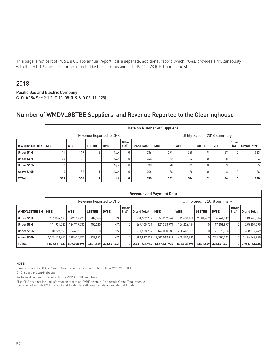This page is not part of PG&E's GO 156 annual report. It is a separate, additional report, which PG&E provides simultaneously with the GO 156 annual report as directed by the Commission in D.06-11-028 (OP 1 and pp. 4-6).

## 2018

Pacific Gas and Electric Company G. O. #156 Sec 9.1.2 (D.11-05-019 & D.06-11-028)

## Number of WMDVLGBTBE Suppliers<sup>1</sup> and Revenue Reported to the Clearinghouse

|               | <b>Data on Number of Suppliers</b> |            |                               |             |               |                                |            |            |               |             |                      |                    |
|---------------|------------------------------------|------------|-------------------------------|-------------|---------------|--------------------------------|------------|------------|---------------|-------------|----------------------|--------------------|
|               |                                    |            | Utility-Specific 2018 Summary |             |               |                                |            |            |               |             |                      |                    |
| # WMDVLGBTBEs | <b>MBE</b>                         | <b>WBE</b> | <b>LGBTBE</b>                 | <b>DVBE</b> | Other<br>8(a) | <b>Grand Total<sup>2</sup></b> | <b>MBE</b> | <b>WBE</b> | <b>LGBTBE</b> | <b>DVBE</b> | <b>Other</b><br>8(a) | <b>Grand Total</b> |
| Under \$1M    | 111                                | 119        | ħ                             | N/A         | 0             | 236                            | 279        | 268        |               | 27          |                      | 583                |
| Under \$5M    | 120                                | 122        |                               | N/A         | $\Omega$      | 244                            | 52         | -66        |               | 8           |                      | 126                |
| Under \$10M   | 42                                 | 56         |                               | N/A         | $\Omega$      | 98                             | 20         | 32         |               | 3           |                      | 55                 |
| Above \$10M   | 116.                               | 89         |                               | N/A         | $\Omega$      | 206                            | 38         | 20         |               | 8           |                      | 66                 |
| <b>TOTAL</b>  | 389                                | 386        |                               | 46          | 0             | 830                            | 389        | 386        | $\circ$       | 46          | 0                    | 830                |

|                       | <b>Revenue and Payment Data</b> |             |                               |             |               |                          |               |             |               |             |                      |                    |
|-----------------------|---------------------------------|-------------|-------------------------------|-------------|---------------|--------------------------|---------------|-------------|---------------|-------------|----------------------|--------------------|
|                       |                                 |             | Utility-Specific 2018 Summary |             |               |                          |               |             |               |             |                      |                    |
| <b>WMDVLGBTBE \$M</b> | <b>MBE</b>                      | <b>WBE</b>  | <b>LGBTBE</b>                 | <b>DVBE</b> | Other<br>8(a) | Grand Total <sup>2</sup> | <b>MBE</b>    | <b>WBE</b>  | <b>LGBTBE</b> | <b>DVBE</b> | <b>Other</b><br>8(a) | <b>Grand Total</b> |
| Under \$1M            | 187.364.695                     | 42.117.978  | .707.326                      | N/A         |               | 231.189.999              | 58.289.764    | 47.689.164  | 2.501.469     | 4.964.619   |                      | 113,445,016        |
| Under \$5M            | 141.931.032                     | 124.719.532 | 455.210                       | N/A         |               | 267.105.774              | 121,328,974   | 156.226.444 |               | 17,651,877  |                      | 295.207.295        |
| Under \$10M           | 140.223.593                     | 134.635.311 |                               | N/A         |               | 274,858,904              | 147,000,280   | 220.442.365 |               | 21.070.104  |                      | 388.512.749        |
| Above \$10M           | .358.112.610                    | 528.435.773 | 338,933                       | N/A         |               | .886.887.316             | 1.501.012.913 | 405.550.621 |               | 278,005,341 |                      | 2,184,568,875      |
| <b>TOTAL</b>          | 1,827,631,930                   | 829.908.594 | 2.501.469                     | 321.691.941 | 0 I           | 2,981,733,934            | 1,827,631,930 | 829.908.594 | 2.501.469     | 321.691.941 |                      | 0 2,981,733,934    |

#### NOTE:

\* Firms classified as 8(A) of Small Business Administration includes Non-WMDVLGBTBE.

CHS: Supplier Clearinghouse

1Includes direct and subcontracting WMDVLGBTBE suppliers

<sup>2</sup>The CHS does not include information regarding DVBE revenue. As a result, Grand Total revenue cells do not include DVBE data. Grand Total/Total cell does include aggregate DVBE data.